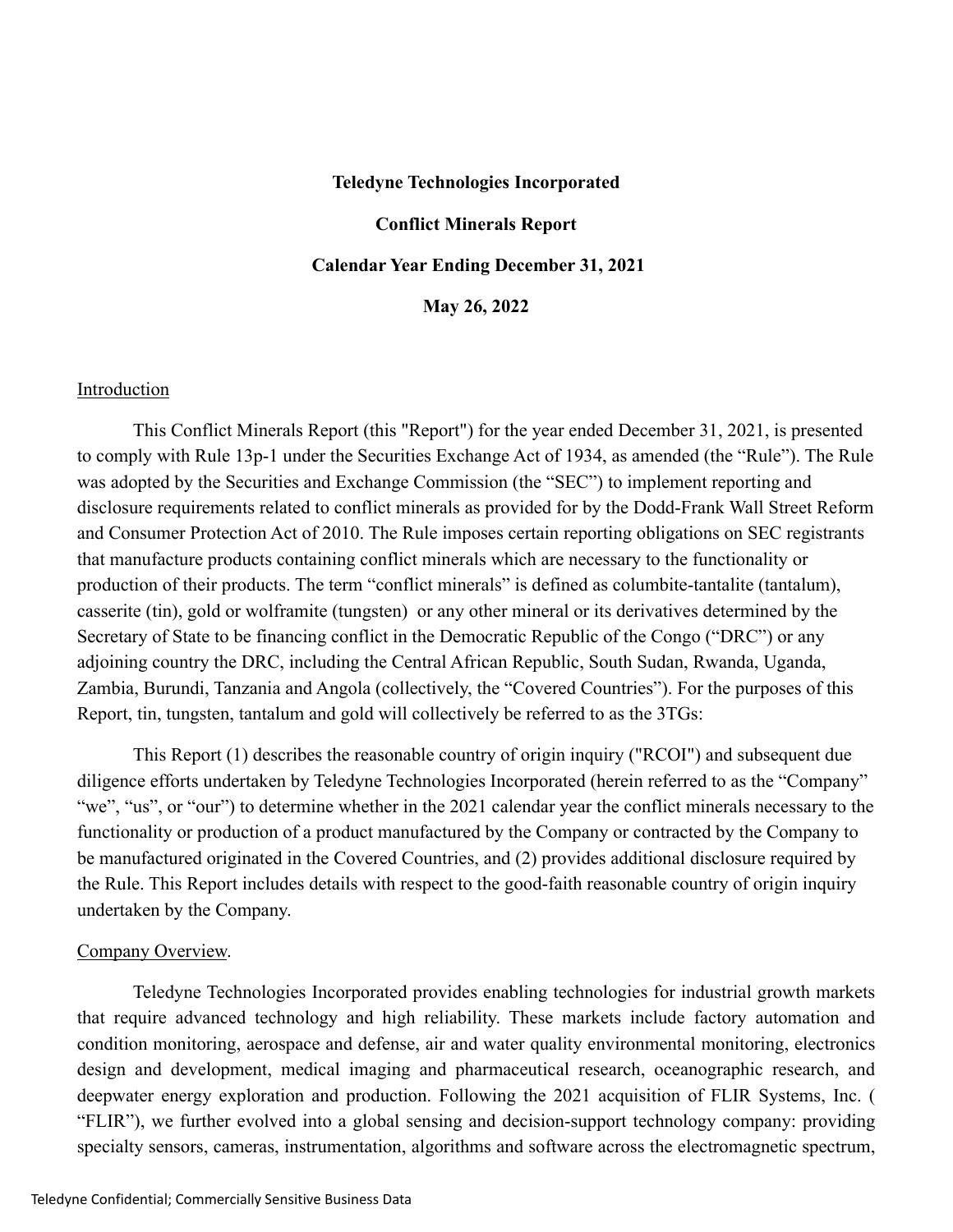# **Teledyne Technologies Incorporated Conflict Minerals Report Calendar Year Ending December 31, 2021 May 26, 2022**

#### Introduction

This Conflict Minerals Report (this "Report") for the year ended December 31, 2021, is presented to comply with Rule 13p-1 under the Securities Exchange Act of 1934, as amended (the "Rule"). The Rule was adopted by the Securities and Exchange Commission (the "SEC") to implement reporting and disclosure requirements related to conflict minerals as provided for by the Dodd-Frank Wall Street Reform and Consumer Protection Act of 2010. The Rule imposes certain reporting obligations on SEC registrants that manufacture products containing conflict minerals which are necessary to the functionality or production of their products. The term "conflict minerals" is defined as columbite-tantalite (tantalum), casserite (tin), gold or wolframite (tungsten) or any other mineral or its derivatives determined by the Secretary of State to be financing conflict in the Democratic Republic of the Congo ("DRC") or any adjoining country the DRC, including the Central African Republic, South Sudan, Rwanda, Uganda, Zambia, Burundi, Tanzania and Angola (collectively, the "Covered Countries"). For the purposes of this Report, tin, tungsten, tantalum and gold will collectively be referred to as the 3TGs:

This Report (1) describes the reasonable country of origin inquiry ("RCOI") and subsequent due diligence efforts undertaken by Teledyne Technologies Incorporated (herein referred to as the "Company" "we", "us", or "our") to determine whether in the 2021 calendar year the conflict minerals necessary to the functionality or production of a product manufactured by the Company or contracted by the Company to be manufactured originated in the Covered Countries, and (2) provides additional disclosure required by the Rule. This Report includes details with respect to the good-faith reasonable country of origin inquiry undertaken by the Company.

#### Company Overview.

Teledyne Technologies Incorporated provides enabling technologies for industrial growth markets that require advanced technology and high reliability. These markets include factory automation and condition monitoring, aerospace and defense, air and water quality environmental monitoring, electronics design and development, medical imaging and pharmaceutical research, oceanographic research, and deepwater energy exploration and production. Following the 2021 acquisition of FLIR Systems, Inc. ( "FLIR"), we further evolved into a global sensing and decision-support technology company: providing specialty sensors, cameras, instrumentation, algorithms and software across the electromagnetic spectrum,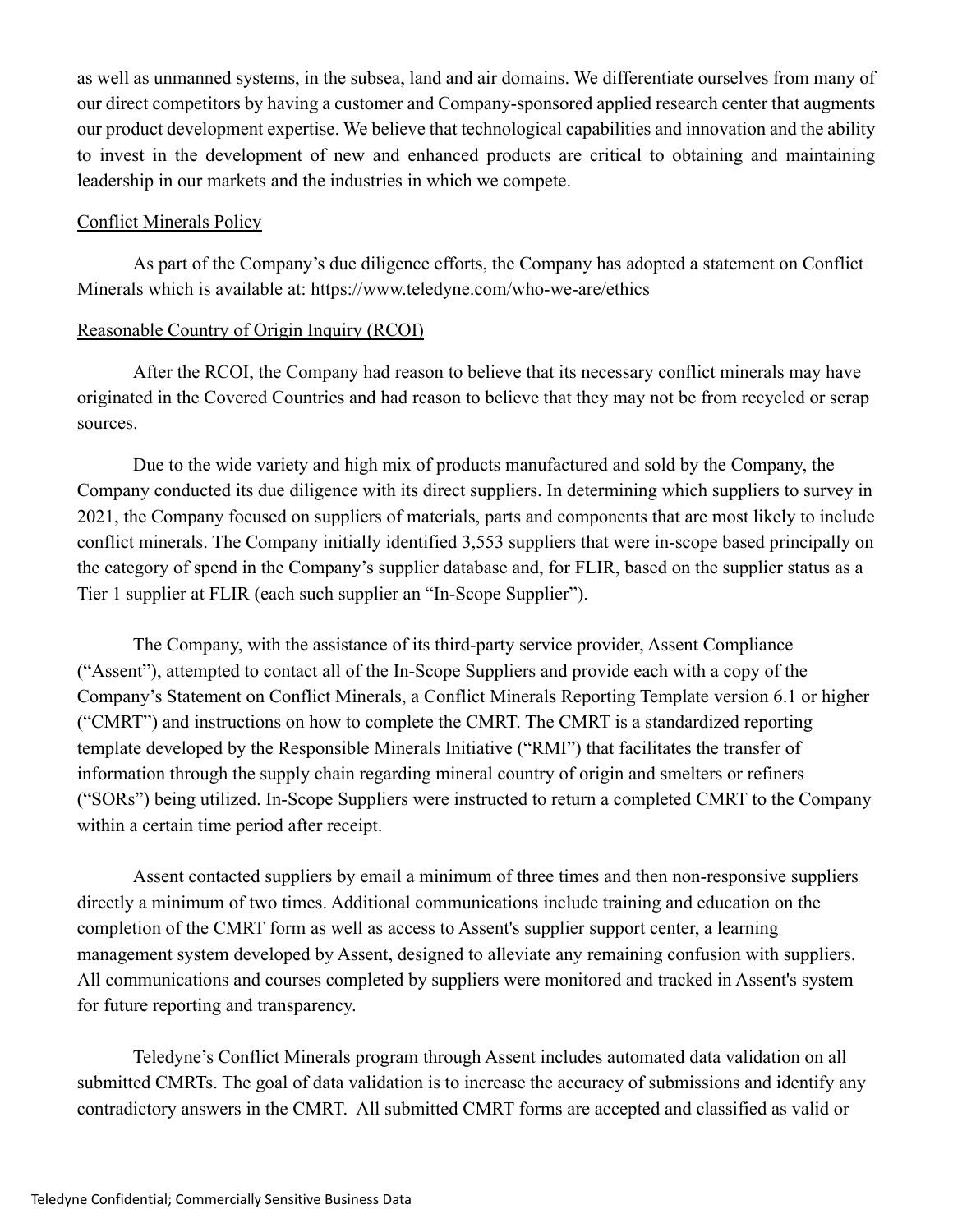as well as unmanned systems, in the subsea, land and air domains. We differentiate ourselves from many of our direct competitors by having a customer and Company-sponsored applied research center that augments our product development expertise. We believe that technological capabilities and innovation and the ability to invest in the development of new and enhanced products are critical to obtaining and maintaining leadership in our markets and the industries in which we compete.

#### Conflict Minerals Policy

As part of the Company's due diligence efforts, the Company has adopted a statement on Conflict Minerals which is available at: https://www.teledyne.com/who-we-are/ethics

## Reasonable Country of Origin Inquiry (RCOI)

After the RCOI, the Company had reason to believe that its necessary conflict minerals may have originated in the Covered Countries and had reason to believe that they may not be from recycled or scrap sources.

Due to the wide variety and high mix of products manufactured and sold by the Company, the Company conducted its due diligence with its direct suppliers. In determining which suppliers to survey in 2021, the Company focused on suppliers of materials, parts and components that are most likely to include conflict minerals. The Company initially identified 3,553 suppliers that were in-scope based principally on the category of spend in the Company's supplier database and, for FLIR, based on the supplier status as a Tier 1 supplier at FLIR (each such supplier an "In-Scope Supplier").

The Company, with the assistance of its third-party service provider, Assent Compliance ("Assent"), attempted to contact all of the In-Scope Suppliers and provide each with a copy of the Company's Statement on Conflict Minerals, a Conflict Minerals Reporting Template version 6.1 or higher ("CMRT") and instructions on how to complete the CMRT. The CMRT is a standardized reporting template developed by the Responsible Minerals Initiative ("RMI") that facilitates the transfer of information through the supply chain regarding mineral country of origin and smelters or refiners ("SORs") being utilized. In-Scope Suppliers were instructed to return a completed CMRT to the Company within a certain time period after receipt.

Assent contacted suppliers by email a minimum of three times and then non-responsive suppliers directly a minimum of two times. Additional communications include training and education on the completion of the CMRT form as well as access to Assent's supplier support center, a learning management system developed by Assent, designed to alleviate any remaining confusion with suppliers. All communications and courses completed by suppliers were monitored and tracked in Assent's system for future reporting and transparency.

Teledyne's Conflict Minerals program through Assent includes automated data validation on all submitted CMRTs. The goal of data validation is to increase the accuracy of submissions and identify any contradictory answers in the CMRT. All submitted CMRT forms are accepted and classified as valid or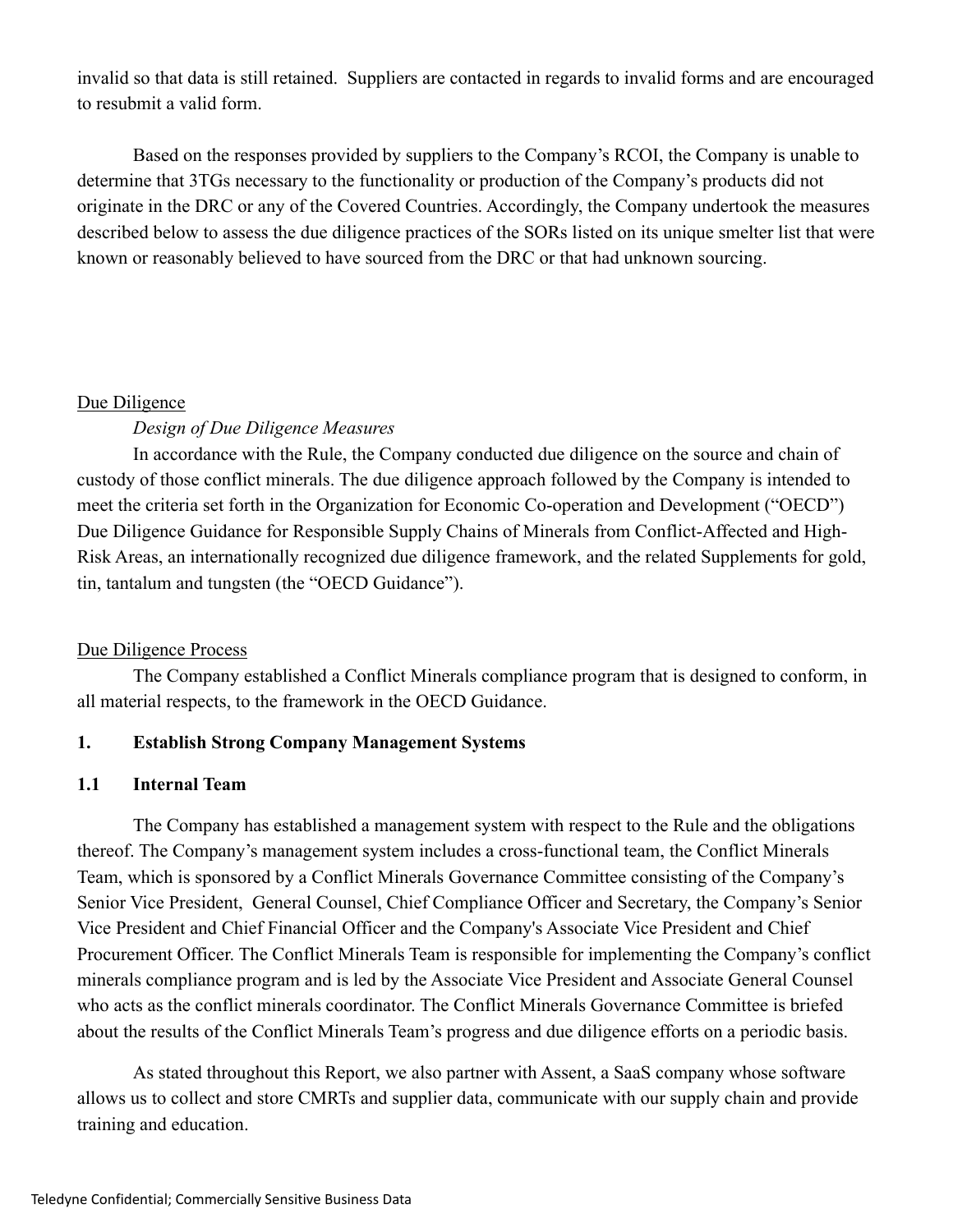invalid so that data is still retained. Suppliers are contacted in regards to invalid forms and are encouraged to resubmit a valid form.

Based on the responses provided by suppliers to the Company's RCOI, the Company is unable to determine that 3TGs necessary to the functionality or production of the Company's products did not originate in the DRC or any of the Covered Countries. Accordingly, the Company undertook the measures described below to assess the due diligence practices of the SORs listed on its unique smelter list that were known or reasonably believed to have sourced from the DRC or that had unknown sourcing.

## Due Diligence

## *Design of Due Diligence Measures*

In accordance with the Rule, the Company conducted due diligence on the source and chain of custody of those conflict minerals. The due diligence approach followed by the Company is intended to meet the criteria set forth in the Organization for Economic Co-operation and Development ("OECD") Due Diligence Guidance for Responsible Supply Chains of Minerals from Conflict-Affected and High-Risk Areas, an internationally recognized due diligence framework, and the related Supplements for gold, tin, tantalum and tungsten (the "OECD Guidance").

#### Due Diligence Process

The Company established a Conflict Minerals compliance program that is designed to conform, in all material respects, to the framework in the OECD Guidance.

#### **1. Establish Strong Company Management Systems**

#### **1.1 Internal Team**

The Company has established a management system with respect to the Rule and the obligations thereof. The Company's management system includes a cross-functional team, the Conflict Minerals Team, which is sponsored by a Conflict Minerals Governance Committee consisting of the Company's Senior Vice President, General Counsel, Chief Compliance Officer and Secretary, the Company's Senior Vice President and Chief Financial Officer and the Company's Associate Vice President and Chief Procurement Officer. The Conflict Minerals Team is responsible for implementing the Company's conflict minerals compliance program and is led by the Associate Vice President and Associate General Counsel who acts as the conflict minerals coordinator. The Conflict Minerals Governance Committee is briefed about the results of the Conflict Minerals Team's progress and due diligence efforts on a periodic basis.

As stated throughout this Report, we also partner with Assent, a SaaS company whose software allows us to collect and store CMRTs and supplier data, communicate with our supply chain and provide training and education.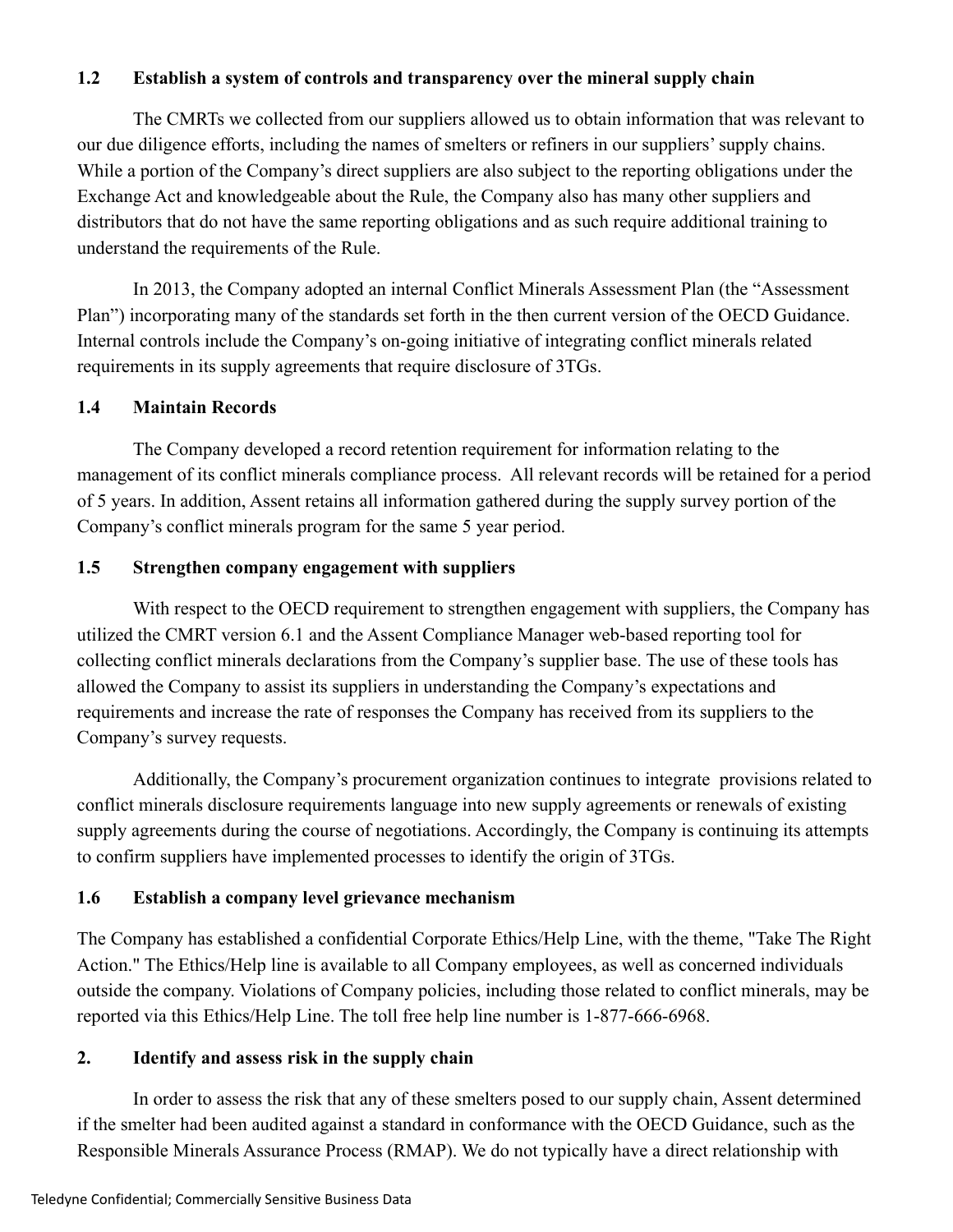## **1.2 Establish a system of controls and transparency over the mineral supply chain**

The CMRTs we collected from our suppliers allowed us to obtain information that was relevant to our due diligence efforts, including the names of smelters or refiners in our suppliers' supply chains. While a portion of the Company's direct suppliers are also subject to the reporting obligations under the Exchange Act and knowledgeable about the Rule, the Company also has many other suppliers and distributors that do not have the same reporting obligations and as such require additional training to understand the requirements of the Rule.

In 2013, the Company adopted an internal Conflict Minerals Assessment Plan (the "Assessment Plan") incorporating many of the standards set forth in the then current version of the OECD Guidance. Internal controls include the Company's on-going initiative of integrating conflict minerals related requirements in its supply agreements that require disclosure of 3TGs.

## **1.4 Maintain Records**

The Company developed a record retention requirement for information relating to the management of its conflict minerals compliance process. All relevant records will be retained for a period of 5 years. In addition, Assent retains all information gathered during the supply survey portion of the Company's conflict minerals program for the same 5 year period.

## **1.5 Strengthen company engagement with suppliers**

With respect to the OECD requirement to strengthen engagement with suppliers, the Company has utilized the CMRT version 6.1 and the Assent Compliance Manager web-based reporting tool for collecting conflict minerals declarations from the Company's supplier base. The use of these tools has allowed the Company to assist its suppliers in understanding the Company's expectations and requirements and increase the rate of responses the Company has received from its suppliers to the Company's survey requests.

Additionally, the Company's procurement organization continues to integrate provisions related to conflict minerals disclosure requirements language into new supply agreements or renewals of existing supply agreements during the course of negotiations. Accordingly, the Company is continuing its attempts to confirm suppliers have implemented processes to identify the origin of 3TGs.

## **1.6 Establish a company level grievance mechanism**

The Company has established a confidential Corporate Ethics/Help Line, with the theme, "Take The Right Action." The Ethics/Help line is available to all Company employees, as well as concerned individuals outside the company. Violations of Company policies, including those related to conflict minerals, may be reported via this Ethics/Help Line. The toll free help line number is 1-877-666-6968.

## **2. Identify and assess risk in the supply chain**

In order to assess the risk that any of these smelters posed to our supply chain, Assent determined if the smelter had been audited against a standard in conformance with the OECD Guidance, such as the Responsible Minerals Assurance Process (RMAP). We do not typically have a direct relationship with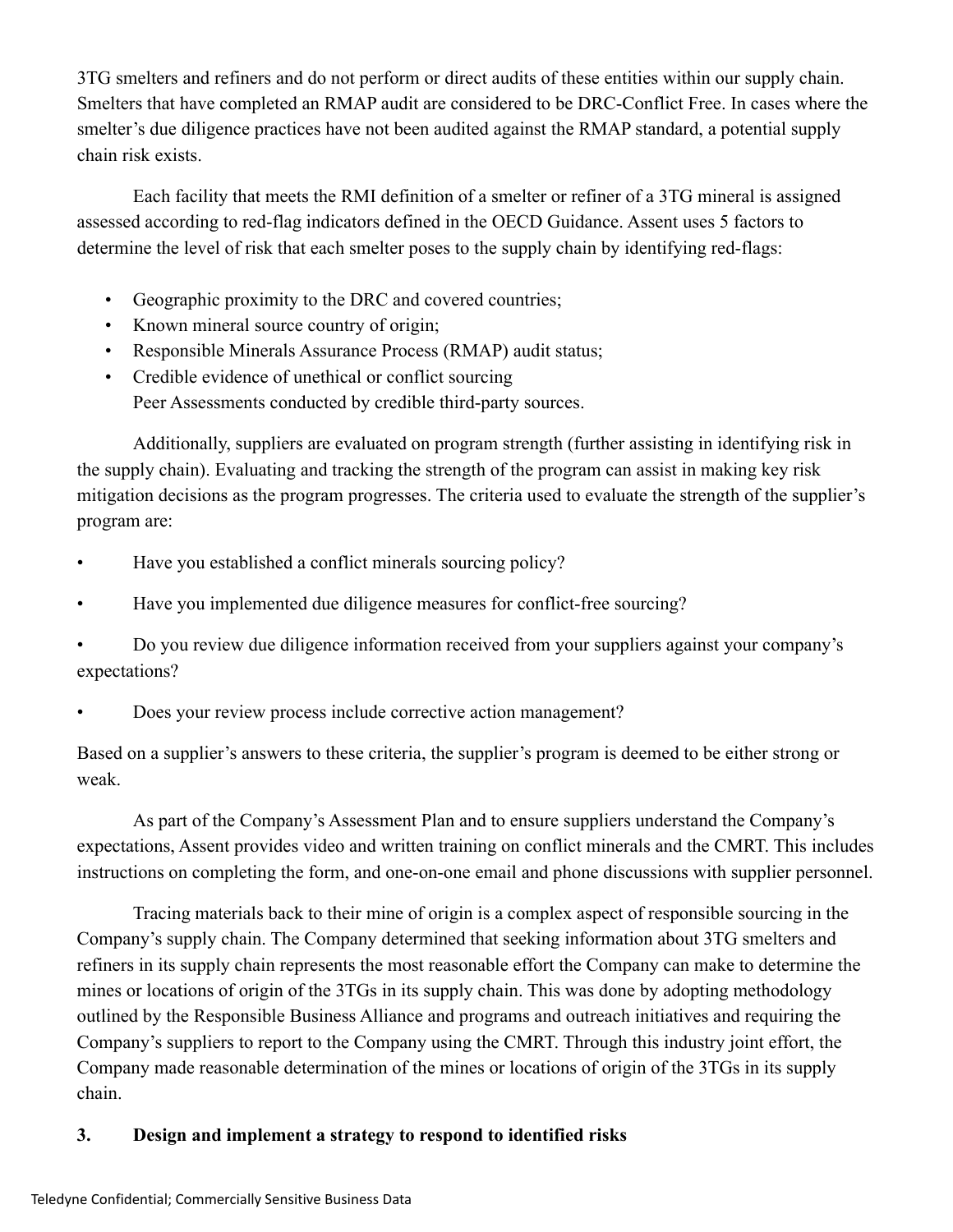3TG smelters and refiners and do not perform or direct audits of these entities within our supply chain. Smelters that have completed an RMAP audit are considered to be DRC-Conflict Free. In cases where the smelter's due diligence practices have not been audited against the RMAP standard, a potential supply chain risk exists.

Each facility that meets the RMI definition of a smelter or refiner of a 3TG mineral is assigned assessed according to red-flag indicators defined in the OECD Guidance. Assent uses 5 factors to determine the level of risk that each smelter poses to the supply chain by identifying red-flags:

- Geographic proximity to the DRC and covered countries;
- Known mineral source country of origin;
- Responsible Minerals Assurance Process (RMAP) audit status;
- Credible evidence of unethical or conflict sourcing Peer Assessments conducted by credible third-party sources.

Additionally, suppliers are evaluated on program strength (further assisting in identifying risk in the supply chain). Evaluating and tracking the strength of the program can assist in making key risk mitigation decisions as the program progresses. The criteria used to evaluate the strength of the supplier's program are:

- Have you established a conflict minerals sourcing policy?
- Have you implemented due diligence measures for conflict-free sourcing?

• Do you review due diligence information received from your suppliers against your company's expectations?

• Does your review process include corrective action management?

Based on a supplier's answers to these criteria, the supplier's program is deemed to be either strong or weak.

As part of the Company's Assessment Plan and to ensure suppliers understand the Company's expectations, Assent provides video and written training on conflict minerals and the CMRT. This includes instructions on completing the form, and one-on-one email and phone discussions with supplier personnel.

Tracing materials back to their mine of origin is a complex aspect of responsible sourcing in the Company's supply chain. The Company determined that seeking information about 3TG smelters and refiners in its supply chain represents the most reasonable effort the Company can make to determine the mines or locations of origin of the 3TGs in its supply chain. This was done by adopting methodology outlined by the Responsible Business Alliance and programs and outreach initiatives and requiring the Company's suppliers to report to the Company using the CMRT. Through this industry joint effort, the Company made reasonable determination of the mines or locations of origin of the 3TGs in its supply chain.

# **3. Design and implement a strategy to respond to identified risks**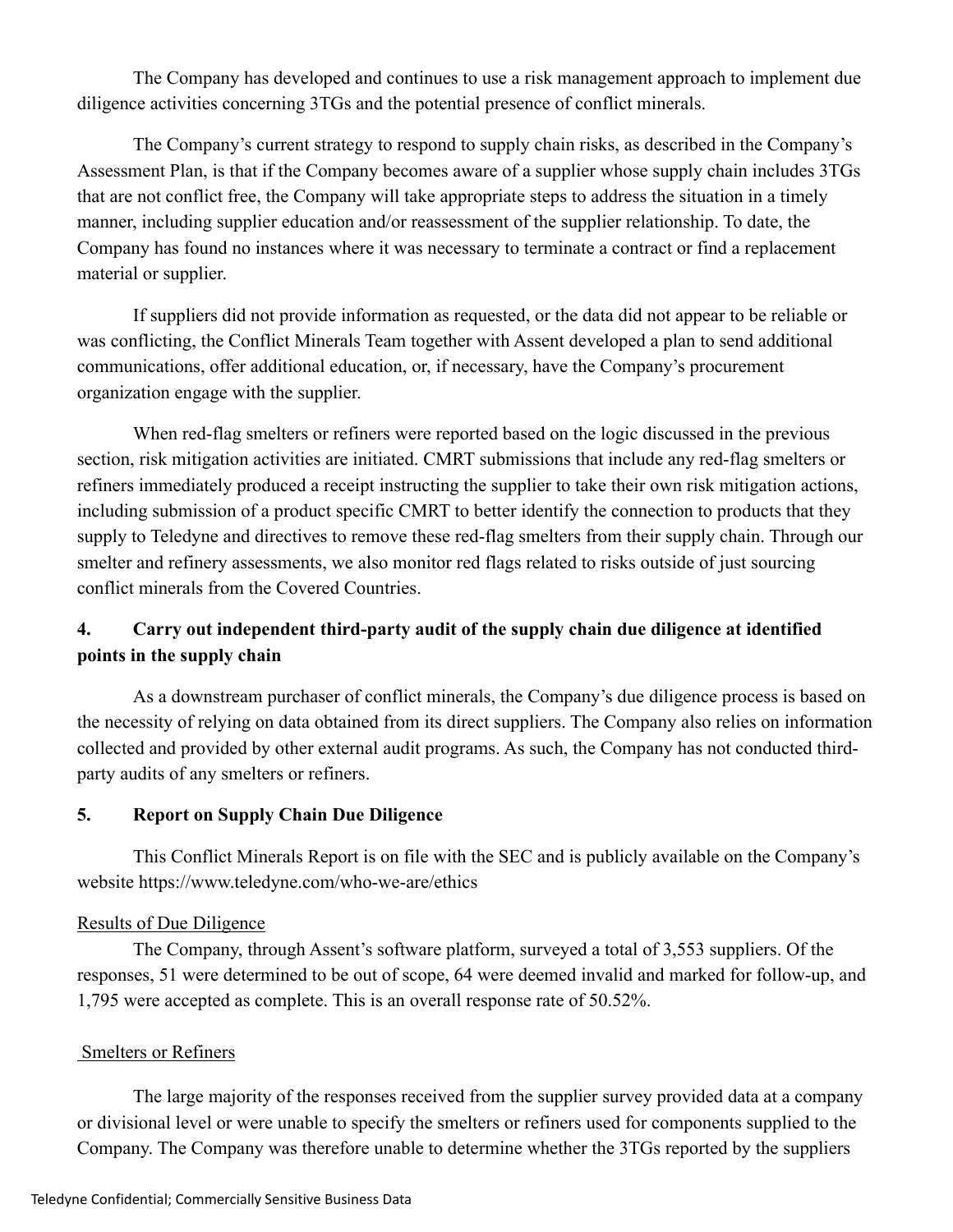The Company has developed and continues to use a risk management approach to implement due diligence activities concerning 3TGs and the potential presence of conflict minerals.

The Company's current strategy to respond to supply chain risks, as described in the Company's Assessment Plan, is that if the Company becomes aware of a supplier whose supply chain includes 3TGs that are not conflict free, the Company will take appropriate steps to address the situation in a timely manner, including supplier education and/or reassessment of the supplier relationship. To date, the Company has found no instances where it was necessary to terminate a contract or find a replacement material or supplier.

If suppliers did not provide information as requested, or the data did not appear to be reliable or was conflicting, the Conflict Minerals Team together with Assent developed a plan to send additional communications, offer additional education, or, if necessary, have the Company's procurement organization engage with the supplier.

When red-flag smelters or refiners were reported based on the logic discussed in the previous section, risk mitigation activities are initiated. CMRT submissions that include any red-flag smelters or refiners immediately produced a receipt instructing the supplier to take their own risk mitigation actions, including submission of a product specific CMRT to better identify the connection to products that they supply to Teledyne and directives to remove these red-flag smelters from their supply chain. Through our smelter and refinery assessments, we also monitor red flags related to risks outside of just sourcing conflict minerals from the Covered Countries.

## **4. Carry out independent third-party audit of the supply chain due diligence at identified points in the supply chain**

As a downstream purchaser of conflict minerals, the Company's due diligence process is based on the necessity of relying on data obtained from its direct suppliers. The Company also relies on information collected and provided by other external audit programs. As such, the Company has not conducted thirdparty audits of any smelters or refiners.

## **5. Report on Supply Chain Due Diligence**

This Conflict Minerals Report is on file with the SEC and is publicly available on the Company's website https://www.teledyne.com/who-we-are/ethics

## Results of Due Diligence

The Company, through Assent's software platform, surveyed a total of 3,553 suppliers. Of the responses, 51 were determined to be out of scope, 64 were deemed invalid and marked for follow-up, and 1,795 were accepted as complete. This is an overall response rate of 50.52%.

## Smelters or Refiners

The large majority of the responses received from the supplier survey provided data at a company or divisional level or were unable to specify the smelters or refiners used for components supplied to the Company. The Company was therefore unable to determine whether the 3TGs reported by the suppliers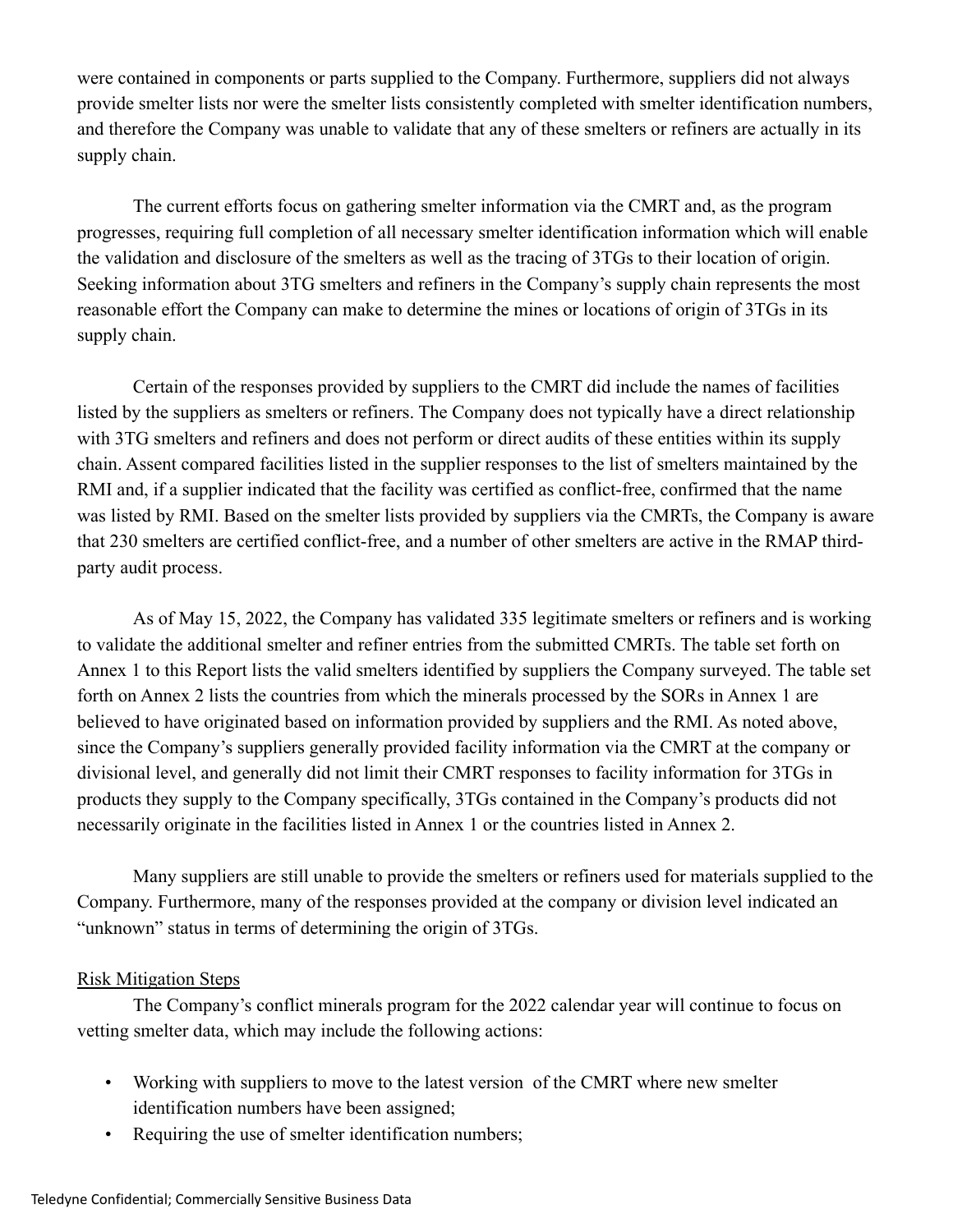were contained in components or parts supplied to the Company. Furthermore, suppliers did not always provide smelter lists nor were the smelter lists consistently completed with smelter identification numbers, and therefore the Company was unable to validate that any of these smelters or refiners are actually in its supply chain.

The current efforts focus on gathering smelter information via the CMRT and, as the program progresses, requiring full completion of all necessary smelter identification information which will enable the validation and disclosure of the smelters as well as the tracing of 3TGs to their location of origin. Seeking information about 3TG smelters and refiners in the Company's supply chain represents the most reasonable effort the Company can make to determine the mines or locations of origin of 3TGs in its supply chain.

Certain of the responses provided by suppliers to the CMRT did include the names of facilities listed by the suppliers as smelters or refiners. The Company does not typically have a direct relationship with 3TG smelters and refiners and does not perform or direct audits of these entities within its supply chain. Assent compared facilities listed in the supplier responses to the list of smelters maintained by the RMI and, if a supplier indicated that the facility was certified as conflict-free, confirmed that the name was listed by RMI. Based on the smelter lists provided by suppliers via the CMRTs, the Company is aware that 230 smelters are certified conflict-free, and a number of other smelters are active in the RMAP thirdparty audit process.

As of May 15, 2022, the Company has validated 335 legitimate smelters or refiners and is working to validate the additional smelter and refiner entries from the submitted CMRTs. The table set forth on Annex 1 to this Report lists the valid smelters identified by suppliers the Company surveyed. The table set forth on Annex 2 lists the countries from which the minerals processed by the SORs in Annex 1 are believed to have originated based on information provided by suppliers and the RMI. As noted above, since the Company's suppliers generally provided facility information via the CMRT at the company or divisional level, and generally did not limit their CMRT responses to facility information for 3TGs in products they supply to the Company specifically, 3TGs contained in the Company's products did not necessarily originate in the facilities listed in Annex 1 or the countries listed in Annex 2.

Many suppliers are still unable to provide the smelters or refiners used for materials supplied to the Company. Furthermore, many of the responses provided at the company or division level indicated an "unknown" status in terms of determining the origin of 3TGs.

## Risk Mitigation Steps

 The Company's conflict minerals program for the 2022 calendar year will continue to focus on vetting smelter data, which may include the following actions:

- Working with suppliers to move to the latest version of the CMRT where new smelter identification numbers have been assigned;
- Requiring the use of smelter identification numbers;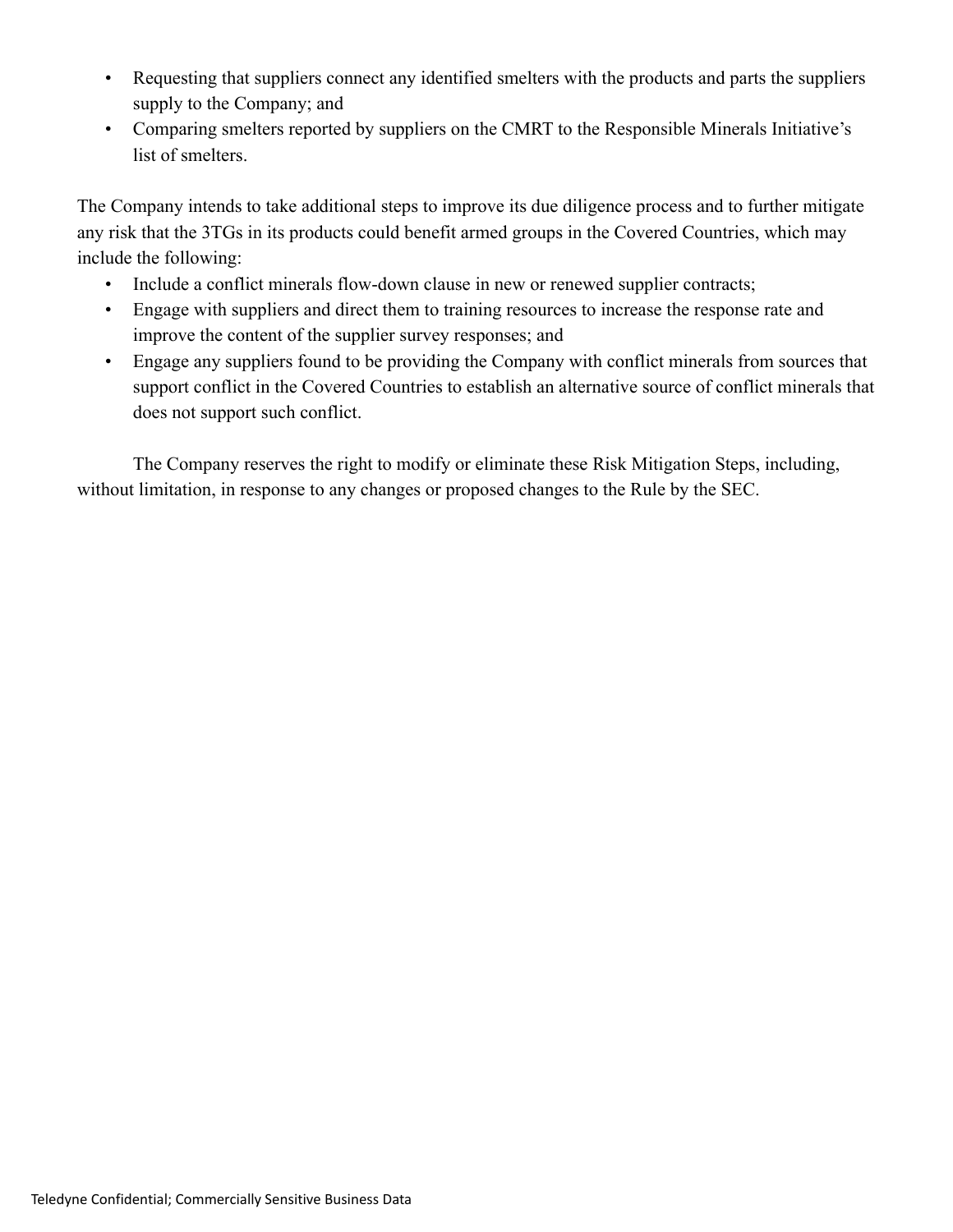- Requesting that suppliers connect any identified smelters with the products and parts the suppliers supply to the Company; and
- Comparing smelters reported by suppliers on the CMRT to the Responsible Minerals Initiative's list of smelters.

The Company intends to take additional steps to improve its due diligence process and to further mitigate any risk that the 3TGs in its products could benefit armed groups in the Covered Countries, which may include the following:

- Include a conflict minerals flow-down clause in new or renewed supplier contracts;
- Engage with suppliers and direct them to training resources to increase the response rate and improve the content of the supplier survey responses; and
- Engage any suppliers found to be providing the Company with conflict minerals from sources that support conflict in the Covered Countries to establish an alternative source of conflict minerals that does not support such conflict.

The Company reserves the right to modify or eliminate these Risk Mitigation Steps, including, without limitation, in response to any changes or proposed changes to the Rule by the SEC.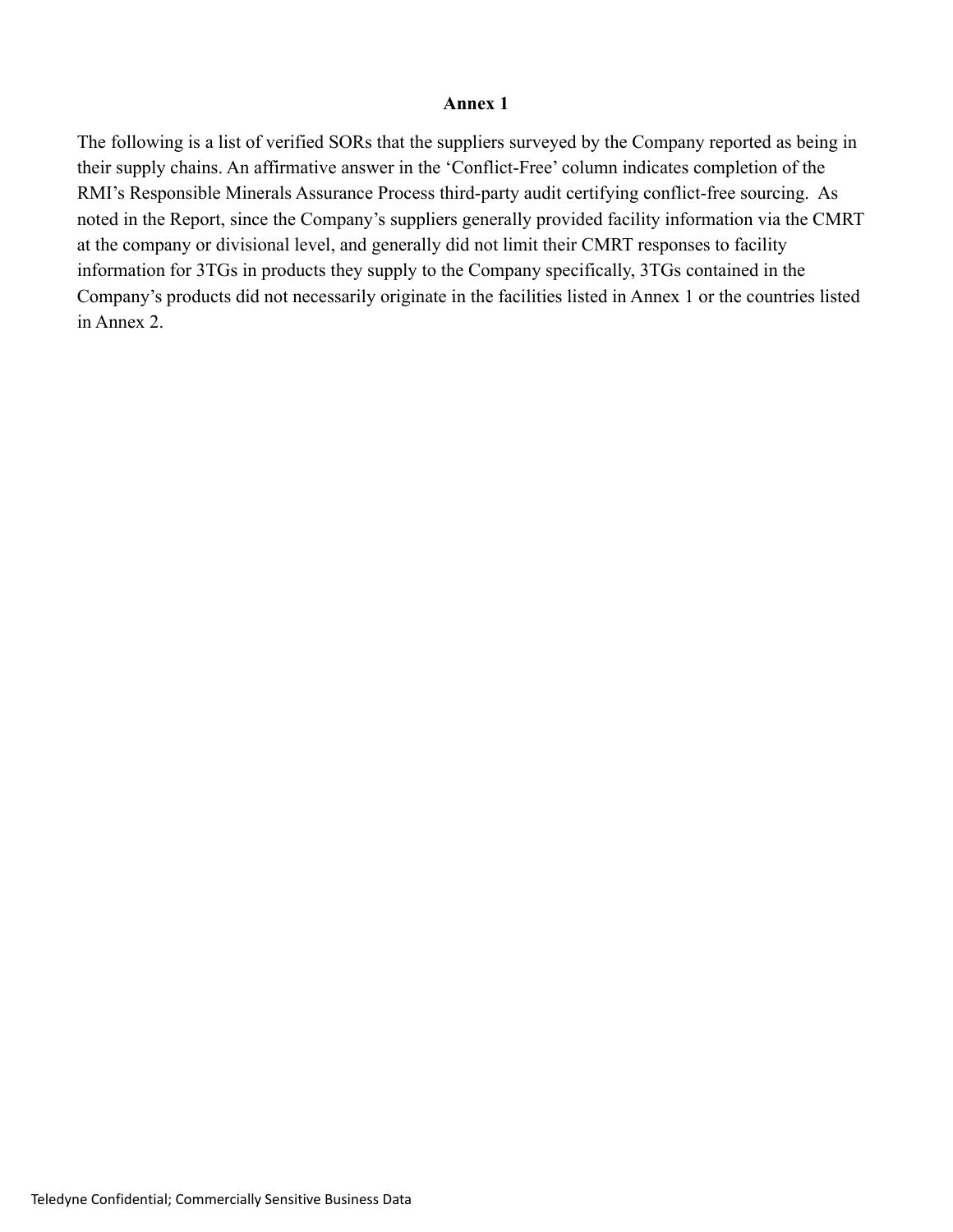#### **Annex 1**

The following is a list of verified SORs that the suppliers surveyed by the Company reported as being in their supply chains. An affirmative answer in the 'Conflict-Free' column indicates completion of the RMI's Responsible Minerals Assurance Process third-party audit certifying conflict-free sourcing. As noted in the Report, since the Company's suppliers generally provided facility information via the CMRT at the company or divisional level, and generally did not limit their CMRT responses to facility information for 3TGs in products they supply to the Company specifically, 3TGs contained in the Company's products did not necessarily originate in the facilities listed in Annex 1 or the countries listed in Annex 2.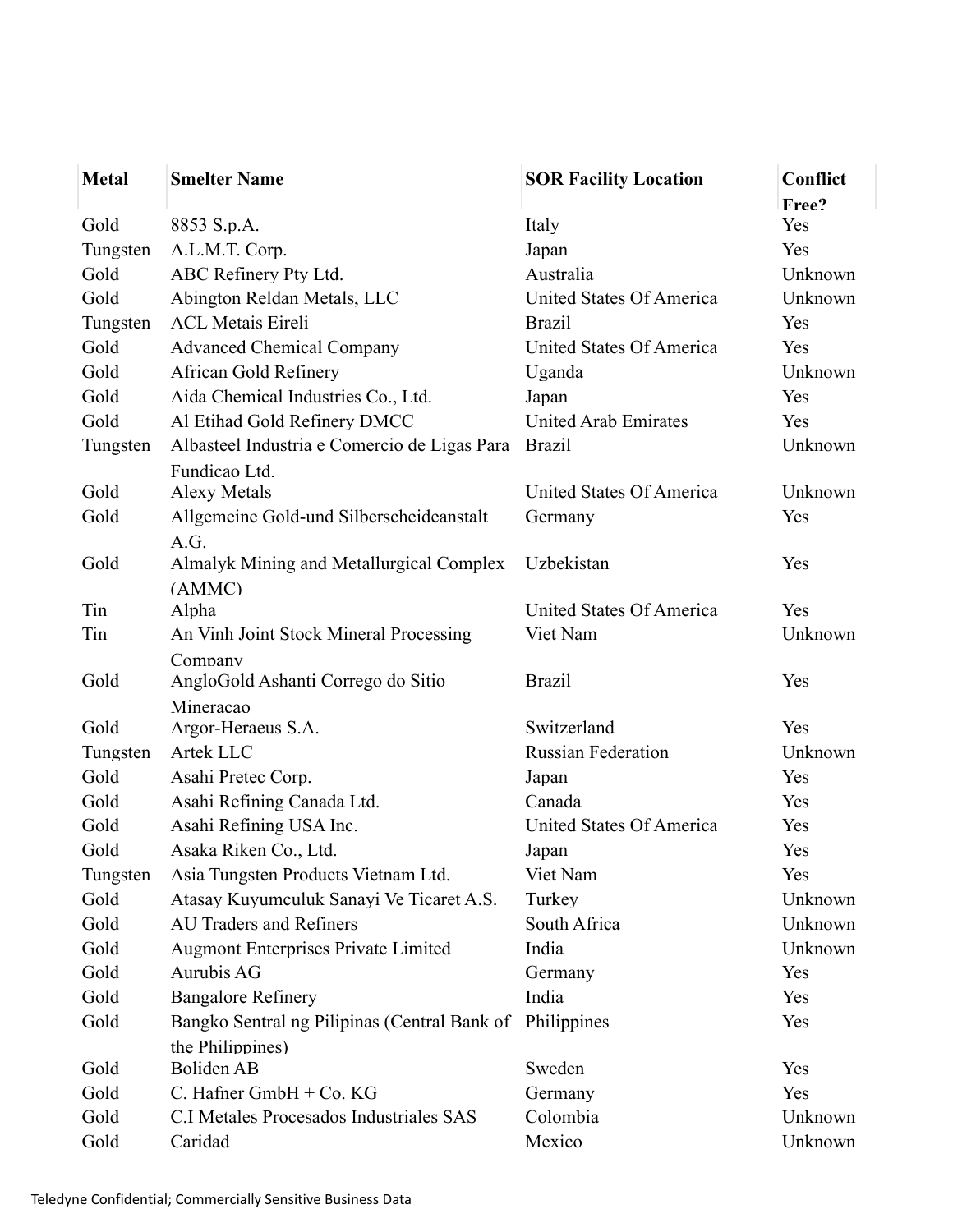| <b>Metal</b> | <b>Smelter Name</b>                          | <b>SOR Facility Location</b>       | Conflict |
|--------------|----------------------------------------------|------------------------------------|----------|
|              |                                              |                                    | Free?    |
| Gold         | 8853 S.p.A.                                  | Italy                              | Yes      |
| Tungsten     | A.L.M.T. Corp.                               | Japan                              | Yes      |
| Gold         | ABC Refinery Pty Ltd.                        | Australia                          | Unknown  |
| Gold         | Abington Reldan Metals, LLC                  | United States Of America           | Unknown  |
| Tungsten     | <b>ACL Metais Eireli</b>                     | <b>Brazil</b>                      | Yes      |
| Gold         | <b>Advanced Chemical Company</b>             | United States Of America           | Yes      |
| Gold         | African Gold Refinery                        | Uganda                             | Unknown  |
| Gold         | Aida Chemical Industries Co., Ltd.           | Japan                              | Yes      |
| Gold         | Al Etihad Gold Refinery DMCC                 | <b>United Arab Emirates</b>        | Yes      |
| Tungsten     | Albasteel Industria e Comercio de Ligas Para | <b>Brazil</b>                      | Unknown  |
|              | Fundicao Ltd.                                |                                    |          |
| Gold         | <b>Alexy Metals</b>                          | United States Of America           | Unknown  |
| Gold         | Allgemeine Gold-und Silberscheideanstalt     | Germany                            | Yes      |
|              | A.G.                                         |                                    |          |
| Gold         | Almalyk Mining and Metallurgical Complex     | Uzbekistan                         | Yes      |
|              | (AMMC)                                       |                                    |          |
| Tin          | Alpha                                        | United States Of America           | Yes      |
| Tin          | An Vinh Joint Stock Mineral Processing       | Viet Nam                           | Unknown  |
|              | Company                                      |                                    |          |
| Gold         | AngloGold Ashanti Corrego do Sitio           | <b>Brazil</b>                      | Yes      |
|              | Mineracao                                    |                                    |          |
| Gold         | Argor-Heraeus S.A.                           | Switzerland                        | Yes      |
| Tungsten     | Artek LLC                                    | <b>Russian Federation</b>          | Unknown  |
| Gold         | Asahi Pretec Corp.                           | Japan                              | Yes      |
| Gold         | Asahi Refining Canada Ltd.                   | Canada<br>United States Of America | Yes      |
| Gold         | Asahi Refining USA Inc.                      |                                    | Yes      |
| Gold         | Asaka Riken Co., Ltd.                        | Japan                              | Yes      |
| Tungsten     | Asia Tungsten Products Vietnam Ltd.          | Viet Nam                           | Yes      |
| Gold         | Atasay Kuyumculuk Sanayi Ve Ticaret A.S.     | Turkey                             | Unknown  |
| Gold         | <b>AU Traders and Refiners</b>               | South Africa                       | Unknown  |
| Gold         | Augmont Enterprises Private Limited          | India                              | Unknown  |
| Gold         | Aurubis AG                                   | Germany                            | Yes      |
| Gold         | <b>Bangalore Refinery</b>                    | India                              | Yes      |
| Gold         | Bangko Sentral ng Pilipinas (Central Bank of | Philippines                        | Yes      |
|              | the Philippines)                             |                                    |          |
| Gold         | Boliden AB                                   | Sweden                             | Yes      |
| Gold         | C. Hafner GmbH + Co. KG                      | Germany                            | Yes      |
| Gold         | C.I Metales Procesados Industriales SAS      | Colombia                           | Unknown  |
| Gold         | Caridad                                      | Mexico                             | Unknown  |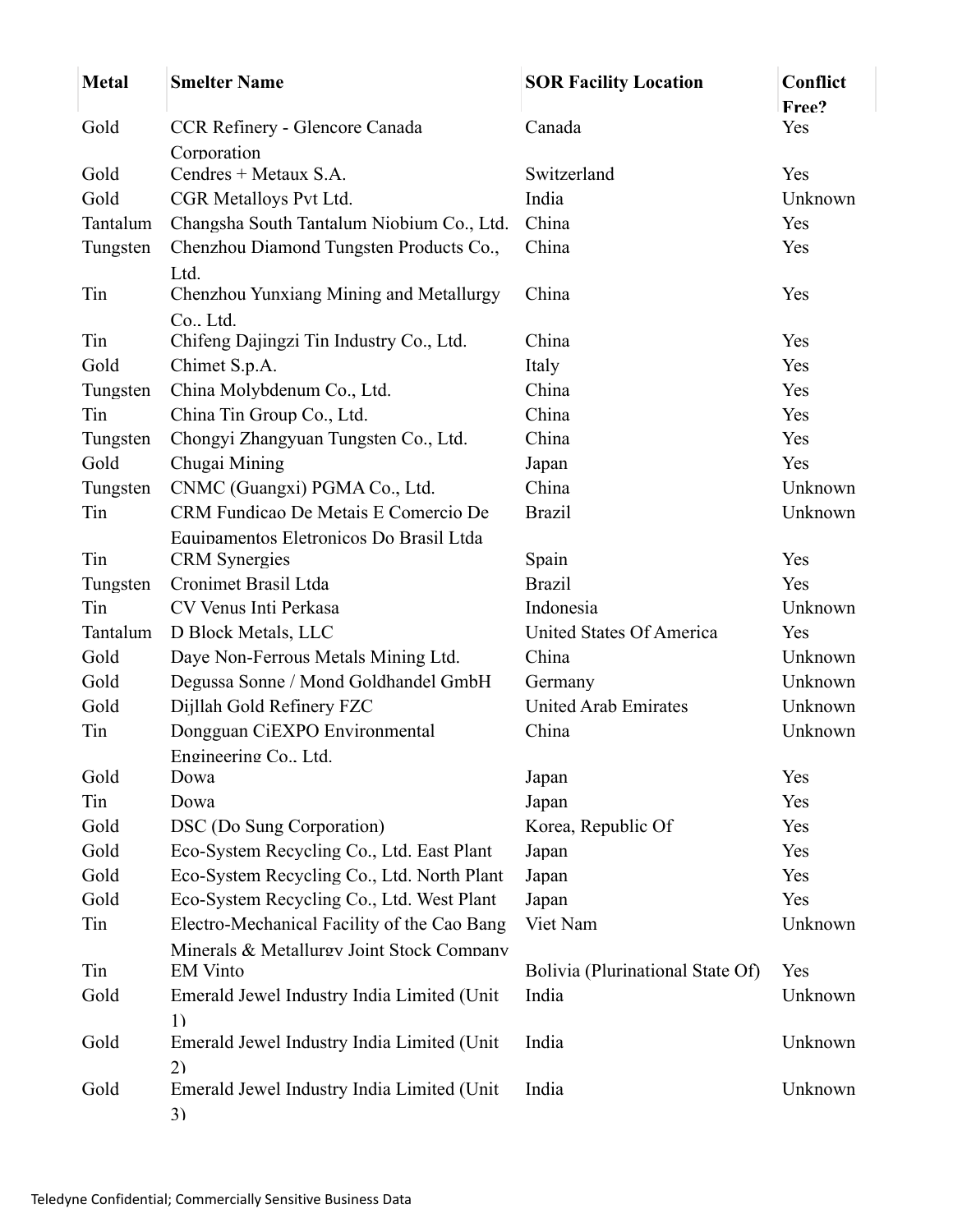| <b>Metal</b> | <b>Smelter Name</b>                                          | <b>SOR Facility Location</b>     | Conflict<br>Free? |
|--------------|--------------------------------------------------------------|----------------------------------|-------------------|
| Gold         | CCR Refinery - Glencore Canada                               | Canada                           | Yes               |
|              | Corporation                                                  |                                  |                   |
| Gold         | Cendres $+$ Metaux S.A.                                      | Switzerland                      | Yes               |
| Gold         | CGR Metalloys Pvt Ltd.                                       | India                            | Unknown           |
| Tantalum     | Changsha South Tantalum Niobium Co., Ltd.                    | China                            | Yes               |
| Tungsten     | Chenzhou Diamond Tungsten Products Co.,                      | China                            | Yes               |
|              | Ltd.                                                         |                                  |                   |
| Tin          | Chenzhou Yunxiang Mining and Metallurgy                      | China                            | Yes               |
|              | Co., Ltd.                                                    |                                  |                   |
| Tin          | Chifeng Dajingzi Tin Industry Co., Ltd.                      | China                            | Yes               |
| Gold         | Chimet S.p.A.                                                | Italy                            | Yes               |
| Tungsten     | China Molybdenum Co., Ltd.                                   | China                            | Yes               |
| Tin          | China Tin Group Co., Ltd.                                    | China                            | Yes               |
| Tungsten     | Chongyi Zhangyuan Tungsten Co., Ltd.                         | China                            | Yes               |
| Gold         | Chugai Mining                                                | Japan                            | Yes               |
| Tungsten     | CNMC (Guangxi) PGMA Co., Ltd.                                | China                            | Unknown           |
| Tin          | CRM Fundicao De Metais E Comercio De                         | <b>Brazil</b>                    | Unknown           |
|              | Equipamentos Eletronicos Do Brasil Ltda                      |                                  |                   |
| Tin          | <b>CRM</b> Synergies                                         | Spain                            | Yes               |
| Tungsten     | Cronimet Brasil Ltda                                         | <b>Brazil</b>                    | Yes               |
| Tin          | CV Venus Inti Perkasa                                        | Indonesia                        | Unknown           |
| Tantalum     | D Block Metals, LLC                                          | United States Of America         | Yes               |
| Gold         | Daye Non-Ferrous Metals Mining Ltd.                          | China                            | Unknown           |
| Gold         | Degussa Sonne / Mond Goldhandel GmbH                         | Germany                          | Unknown           |
| Gold         | Dijllah Gold Refinery FZC                                    | <b>United Arab Emirates</b>      | Unknown           |
| Tin          | Dongguan CiEXPO Environmental                                | China                            | Unknown           |
|              | Engineering Co., Ltd.                                        |                                  |                   |
| Gold         | Dowa                                                         | Japan                            | Yes               |
| Tin          | Dowa                                                         | Japan                            | Yes               |
| Gold         | DSC (Do Sung Corporation)                                    | Korea, Republic Of               | Yes               |
| Gold         | Eco-System Recycling Co., Ltd. East Plant                    | Japan                            | Yes               |
| Gold         | Eco-System Recycling Co., Ltd. North Plant                   | Japan                            | Yes               |
| Gold         | Eco-System Recycling Co., Ltd. West Plant                    | Japan                            | Yes               |
| Tin          | Electro-Mechanical Facility of the Cao Bang                  | Viet Nam                         | Unknown           |
| Tin          | Minerals & Metallurgy Joint Stock Company<br><b>EM Vinto</b> | Bolivia (Plurinational State Of) | Yes               |
| Gold         | Emerald Jewel Industry India Limited (Unit                   | India                            | Unknown           |
|              | 1)                                                           |                                  |                   |
| Gold         | Emerald Jewel Industry India Limited (Unit                   | India                            | Unknown           |
|              | (2)                                                          |                                  |                   |
| Gold         | Emerald Jewel Industry India Limited (Unit                   | India                            | Unknown           |
|              | 3)                                                           |                                  |                   |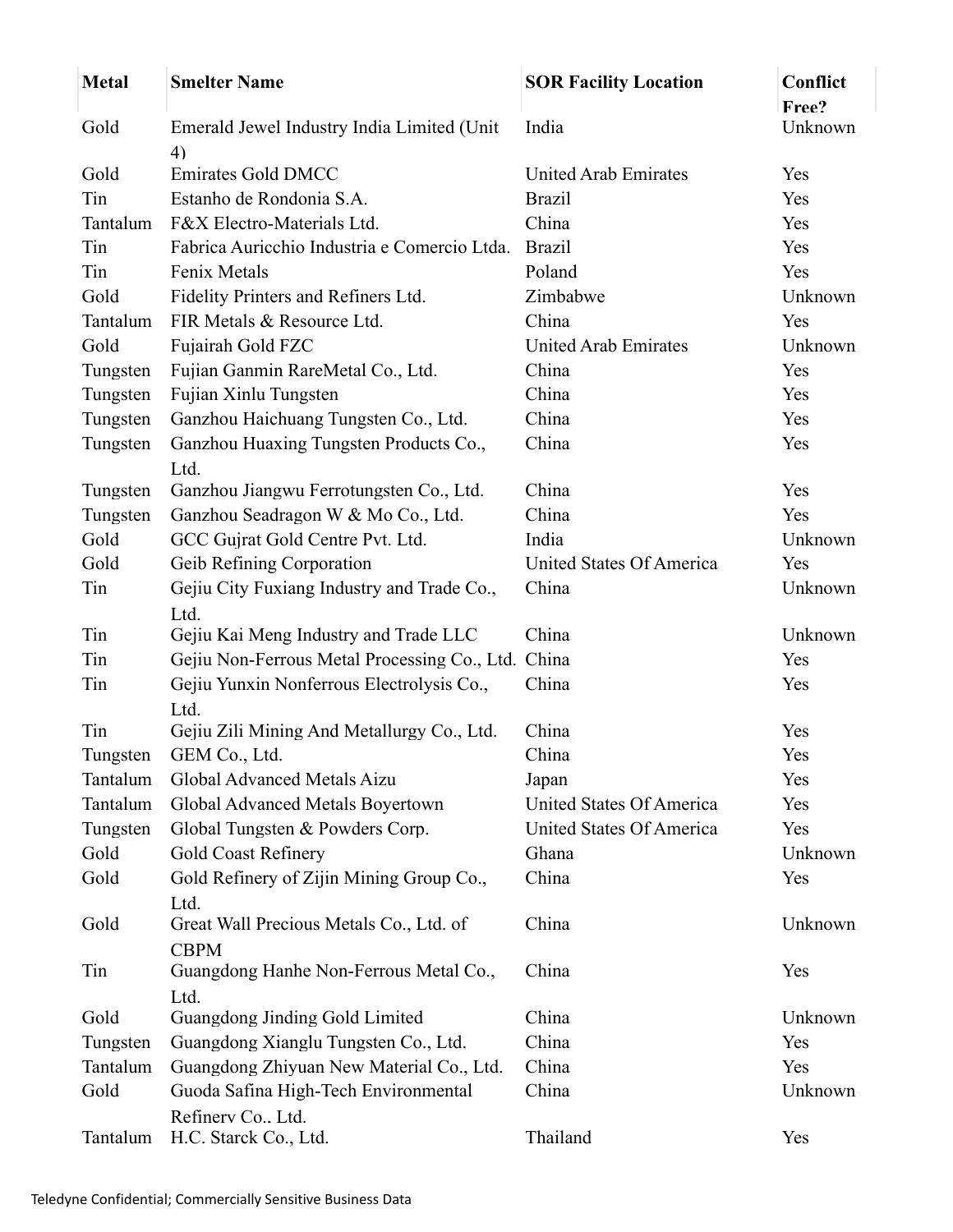| <b>Metal</b> | <b>Smelter Name</b>                                | <b>SOR Facility Location</b> | Conflict         |
|--------------|----------------------------------------------------|------------------------------|------------------|
| Gold         | Emerald Jewel Industry India Limited (Unit         | India                        | Free?<br>Unknown |
|              | 4)                                                 |                              |                  |
| Gold         | <b>Emirates Gold DMCC</b>                          | <b>United Arab Emirates</b>  | Yes              |
| Tin          | Estanho de Rondonia S.A.                           | <b>Brazil</b>                | Yes              |
| Tantalum     | F&X Electro-Materials Ltd.                         | China                        | Yes              |
| Tin          | Fabrica Auricchio Industria e Comercio Ltda.       | <b>Brazil</b>                | Yes              |
| Tin          | Fenix Metals                                       | Poland                       | Yes              |
| Gold         | Fidelity Printers and Refiners Ltd.                | Zimbabwe                     | Unknown          |
| Tantalum     | FIR Metals & Resource Ltd.                         | China                        | Yes              |
| Gold         | Fujairah Gold FZC                                  | <b>United Arab Emirates</b>  | Unknown          |
| Tungsten     | Fujian Ganmin RareMetal Co., Ltd.                  | China                        | Yes              |
| Tungsten     | Fujian Xinlu Tungsten                              | China                        | Yes              |
| Tungsten     | Ganzhou Haichuang Tungsten Co., Ltd.               | China                        | Yes              |
| Tungsten     | Ganzhou Huaxing Tungsten Products Co.,<br>Ltd.     | China                        | Yes              |
| Tungsten     | Ganzhou Jiangwu Ferrotungsten Co., Ltd.            | China                        | Yes              |
| Tungsten     | Ganzhou Seadragon W & Mo Co., Ltd.                 | China                        | Yes              |
| Gold         | GCC Gujrat Gold Centre Pvt. Ltd.                   | India                        | Unknown          |
| Gold         | Geib Refining Corporation                          | United States Of America     | Yes              |
| Tin          | Gejiu City Fuxiang Industry and Trade Co.,         | China                        | Unknown          |
|              | Ltd.                                               |                              |                  |
| Tin          | Gejiu Kai Meng Industry and Trade LLC              | China                        | Unknown          |
| Tin          | Gejiu Non-Ferrous Metal Processing Co., Ltd. China |                              | Yes              |
| Tin          | Gejiu Yunxin Nonferrous Electrolysis Co.,          | China                        | Yes              |
|              | Ltd.                                               |                              |                  |
| Tin          | Gejiu Zili Mining And Metallurgy Co., Ltd.         | China                        | Yes              |
| Tungsten     | GEM Co., Ltd.                                      | China                        | Yes              |
| Tantalum     | Global Advanced Metals Aizu                        | Japan                        | Yes              |
| Tantalum     | Global Advanced Metals Boyertown                   | United States Of America     | Yes              |
| Tungsten     | Global Tungsten & Powders Corp.                    | United States Of America     | Yes              |
| Gold         | <b>Gold Coast Refinery</b>                         | Ghana                        | Unknown          |
| Gold         | Gold Refinery of Zijin Mining Group Co.,           | China                        | Yes              |
|              | Ltd.                                               |                              |                  |
| Gold         | Great Wall Precious Metals Co., Ltd. of            | China                        | Unknown          |
|              | <b>CBPM</b>                                        |                              |                  |
| Tin          | Guangdong Hanhe Non-Ferrous Metal Co.,             | China                        | Yes              |
|              | Ltd.                                               |                              |                  |
| Gold         | Guangdong Jinding Gold Limited                     | China                        | Unknown          |
| Tungsten     | Guangdong Xianglu Tungsten Co., Ltd.               | China                        | Yes              |
| Tantalum     | Guangdong Zhiyuan New Material Co., Ltd.           | China                        | Yes              |
| Gold         | Guoda Safina High-Tech Environmental               | China                        | Unknown          |
|              | Refinery Co., Ltd.                                 |                              |                  |
| Tantalum     | H.C. Starck Co., Ltd.                              | Thailand                     | Yes              |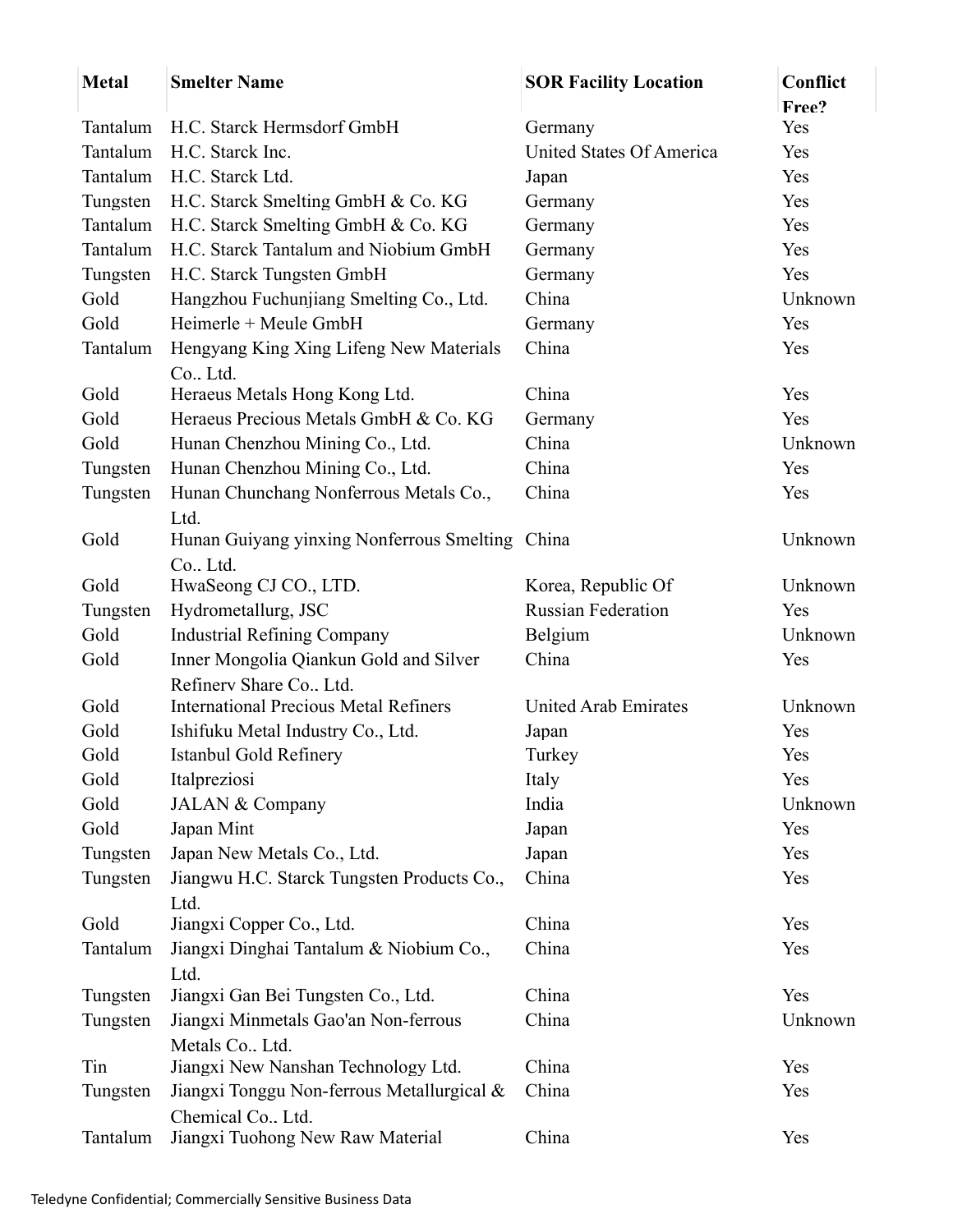| <b>Metal</b> | <b>Smelter Name</b>                             | <b>SOR Facility Location</b> | Conflict     |
|--------------|-------------------------------------------------|------------------------------|--------------|
| Tantalum     | H.C. Starck Hermsdorf GmbH                      | Germany                      | Free?<br>Yes |
| Tantalum     | H.C. Starck Inc.                                | United States Of America     | Yes          |
| Tantalum     | H.C. Starck Ltd.                                | Japan                        | Yes          |
| Tungsten     | H.C. Starck Smelting GmbH & Co. KG              | Germany                      | Yes          |
| Tantalum     | H.C. Starck Smelting GmbH & Co. KG              | Germany                      | Yes          |
| Tantalum     | H.C. Starck Tantalum and Niobium GmbH           | Germany                      | Yes          |
| Tungsten     | H.C. Starck Tungsten GmbH                       | Germany                      | Yes          |
| Gold         | Hangzhou Fuchunjiang Smelting Co., Ltd.         | China                        | Unknown      |
| Gold         | Heimerle + Meule GmbH                           | Germany                      | Yes          |
| Tantalum     | Hengyang King Xing Lifeng New Materials         | China                        | Yes          |
|              | Co., Ltd.                                       |                              |              |
| Gold         | Heraeus Metals Hong Kong Ltd.                   | China                        | Yes          |
| Gold         | Heraeus Precious Metals GmbH & Co. KG           | Germany                      | Yes          |
| Gold         | Hunan Chenzhou Mining Co., Ltd.                 | China                        | Unknown      |
| Tungsten     | Hunan Chenzhou Mining Co., Ltd.                 | China                        | Yes          |
| Tungsten     | Hunan Chunchang Nonferrous Metals Co.,          | China                        | Yes          |
|              | Ltd.                                            |                              |              |
| Gold         | Hunan Guiyang yinxing Nonferrous Smelting China |                              | Unknown      |
| Gold         | Co., Ltd.<br>HwaSeong CJ CO., LTD.              | Korea, Republic Of           | Unknown      |
| Tungsten     | Hydrometallurg, JSC                             | <b>Russian Federation</b>    | Yes          |
| Gold         | <b>Industrial Refining Company</b>              | Belgium                      | Unknown      |
| Gold         | Inner Mongolia Qiankun Gold and Silver          | China                        | Yes          |
|              | Refinery Share Co., Ltd.                        |                              |              |
| Gold         | <b>International Precious Metal Refiners</b>    | <b>United Arab Emirates</b>  | Unknown      |
| Gold         | Ishifuku Metal Industry Co., Ltd.               | Japan                        | Yes          |
| Gold         | Istanbul Gold Refinery                          | Turkey                       | Yes          |
| Gold         | Italpreziosi                                    | Italy                        | Yes          |
| Gold         | JALAN & Company                                 | India                        | Unknown      |
| Gold         | Japan Mint                                      | Japan                        | Yes          |
| Tungsten     | Japan New Metals Co., Ltd.                      | Japan                        | Yes          |
| Tungsten     | Jiangwu H.C. Starck Tungsten Products Co.,      | China                        | Yes          |
|              | Ltd.                                            |                              |              |
| Gold         | Jiangxi Copper Co., Ltd.                        | China                        | Yes          |
| Tantalum     | Jiangxi Dinghai Tantalum & Niobium Co.,         | China                        | Yes          |
|              | Ltd.                                            |                              |              |
| Tungsten     | Jiangxi Gan Bei Tungsten Co., Ltd.              | China                        | Yes          |
| Tungsten     | Jiangxi Minmetals Gao'an Non-ferrous            | China                        | Unknown      |
|              | Metals Co., Ltd.                                |                              |              |
| Tin          | Jiangxi New Nanshan Technology Ltd.             | China                        | Yes          |
| Tungsten     | Jiangxi Tonggu Non-ferrous Metallurgical &      | China                        | Yes          |
|              | Chemical Co Ltd.                                |                              |              |
| Tantalum     | Jiangxi Tuohong New Raw Material                | China                        | Yes          |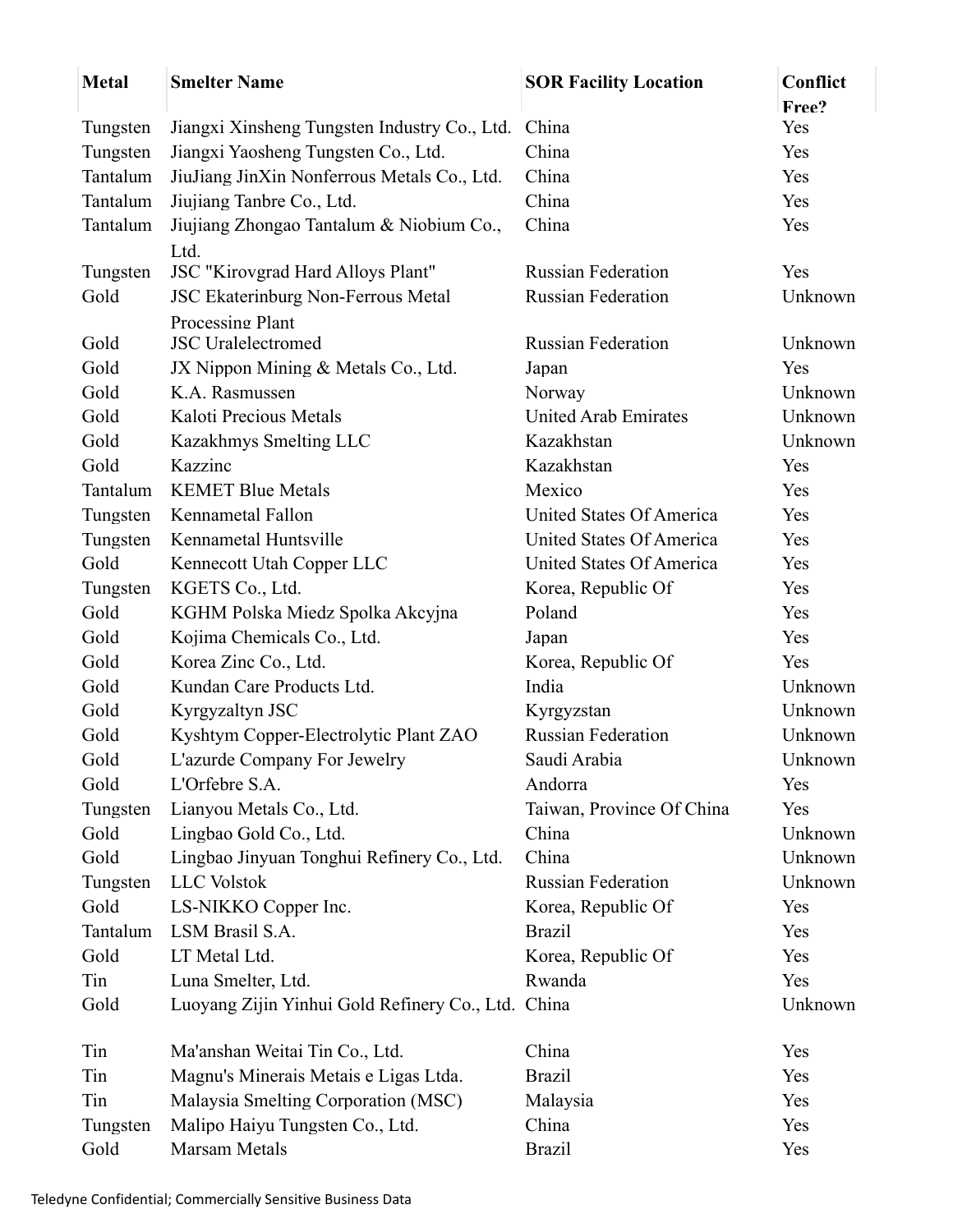| <b>Metal</b> | <b>Smelter Name</b>                                | <b>SOR Facility Location</b> | Conflict     |
|--------------|----------------------------------------------------|------------------------------|--------------|
| Tungsten     | Jiangxi Xinsheng Tungsten Industry Co., Ltd.       | China                        | Free?<br>Yes |
| Tungsten     | Jiangxi Yaosheng Tungsten Co., Ltd.                | China                        | Yes          |
| Tantalum     | JiuJiang JinXin Nonferrous Metals Co., Ltd.        | China                        | Yes          |
| Tantalum     | Jiujiang Tanbre Co., Ltd.                          | China                        | Yes          |
| Tantalum     | Jiujiang Zhongao Tantalum & Niobium Co.,           | China                        | Yes          |
|              | Ltd.                                               |                              |              |
| Tungsten     | JSC "Kirovgrad Hard Alloys Plant"                  | <b>Russian Federation</b>    | Yes          |
| Gold         | JSC Ekaterinburg Non-Ferrous Metal                 | <b>Russian Federation</b>    | Unknown      |
|              | Processing Plant                                   |                              |              |
| Gold         | <b>JSC</b> Uralelectromed                          | Russian Federation           | Unknown      |
| Gold         | JX Nippon Mining & Metals Co., Ltd.                | Japan                        | Yes          |
| Gold         | K.A. Rasmussen                                     | Norway                       | Unknown      |
| Gold         | Kaloti Precious Metals                             | <b>United Arab Emirates</b>  | Unknown      |
| Gold         | Kazakhmys Smelting LLC                             | Kazakhstan                   | Unknown      |
| Gold         | Kazzinc                                            | Kazakhstan                   | Yes          |
| Tantalum     | <b>KEMET Blue Metals</b>                           | Mexico                       | Yes          |
| Tungsten     | Kennametal Fallon                                  | United States Of America     | Yes          |
| Tungsten     | Kennametal Huntsville                              | United States Of America     | Yes          |
| Gold         | Kennecott Utah Copper LLC                          | United States Of America     | Yes          |
| Tungsten     | KGETS Co., Ltd.                                    | Korea, Republic Of           | Yes          |
| Gold         | KGHM Polska Miedz Spolka Akcyjna                   | Poland                       | Yes          |
| Gold         | Kojima Chemicals Co., Ltd.                         | Japan                        | Yes          |
| Gold         | Korea Zinc Co., Ltd.                               | Korea, Republic Of           | Yes          |
| Gold         | Kundan Care Products Ltd.                          | India                        | Unknown      |
| Gold         | Kyrgyzaltyn JSC                                    | Kyrgyzstan                   | Unknown      |
| Gold         | Kyshtym Copper-Electrolytic Plant ZAO              | <b>Russian Federation</b>    | Unknown      |
| Gold         | L'azurde Company For Jewelry                       | Saudi Arabia                 | Unknown      |
| Gold         | L'Orfebre S.A.                                     | Andorra                      | Yes          |
| Tungsten     | Lianyou Metals Co., Ltd.                           | Taiwan, Province Of China    | Yes          |
| Gold         | Lingbao Gold Co., Ltd.                             | China                        | Unknown      |
| Gold         | Lingbao Jinyuan Tonghui Refinery Co., Ltd.         | China                        | Unknown      |
| Tungsten     | LLC Volstok                                        | <b>Russian Federation</b>    | Unknown      |
| Gold         | LS-NIKKO Copper Inc.                               | Korea, Republic Of           | Yes          |
| Tantalum     | LSM Brasil S.A.                                    | <b>Brazil</b>                | Yes          |
| Gold         | LT Metal Ltd.                                      | Korea, Republic Of           | Yes          |
| Tin          | Luna Smelter, Ltd.                                 | Rwanda                       | Yes          |
| Gold         | Luoyang Zijin Yinhui Gold Refinery Co., Ltd. China |                              | Unknown      |
| Tin          | Ma'anshan Weitai Tin Co., Ltd.                     | China                        | Yes          |
| Tin          | Magnu's Minerais Metais e Ligas Ltda.              | <b>Brazil</b>                | Yes          |
| Tin          | Malaysia Smelting Corporation (MSC)                | Malaysia                     | Yes          |
| Tungsten     | Malipo Haiyu Tungsten Co., Ltd.                    | China                        | Yes          |
| Gold         | Marsam Metals                                      | <b>Brazil</b>                | Yes          |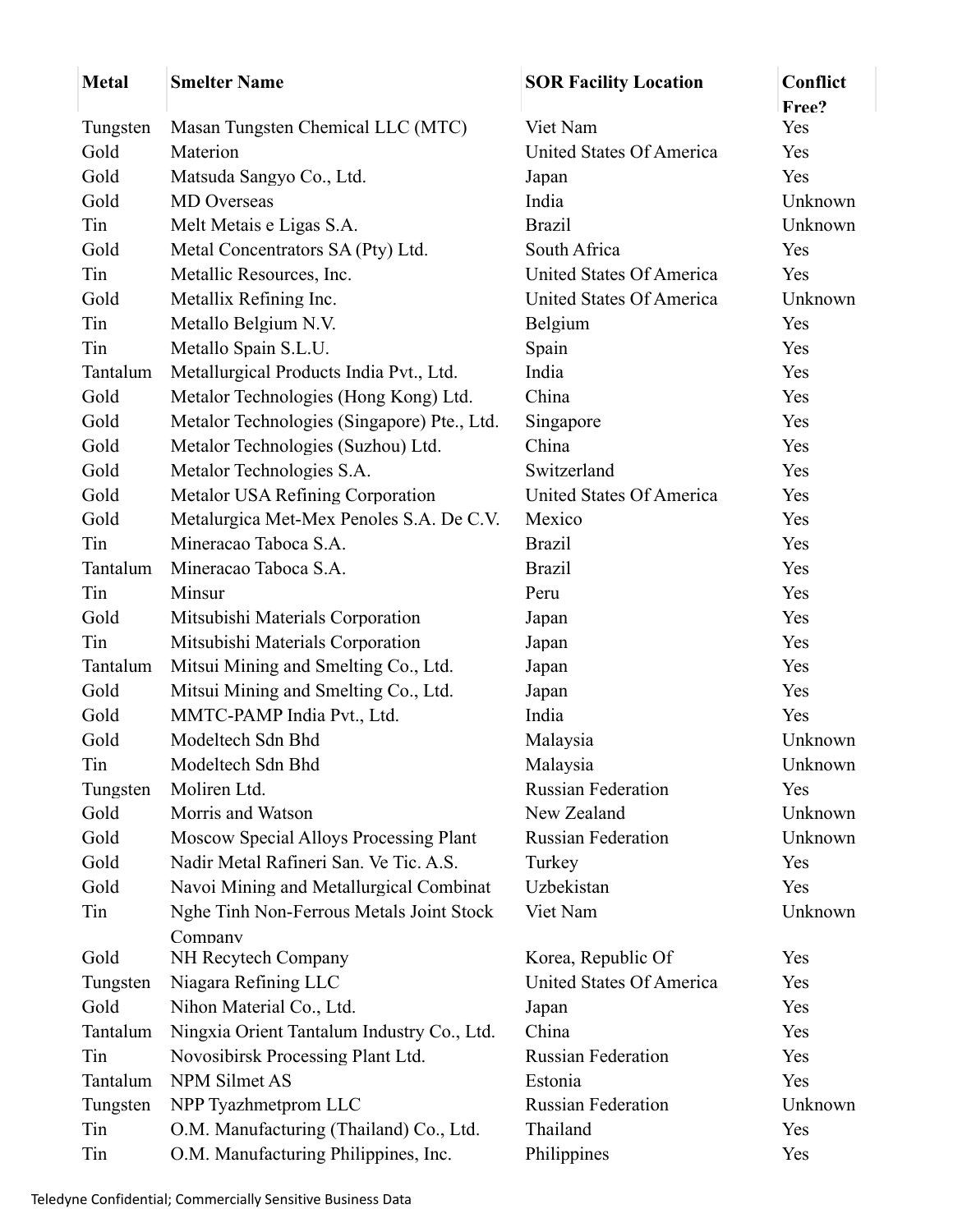| <b>Metal</b> | <b>Smelter Name</b>                         | <b>SOR Facility Location</b> | Conflict<br>Free? |
|--------------|---------------------------------------------|------------------------------|-------------------|
| Tungsten     | Masan Tungsten Chemical LLC (MTC)           | Viet Nam                     | Yes               |
| Gold         | Materion                                    | United States Of America     | Yes               |
| Gold         | Matsuda Sangyo Co., Ltd.                    | Japan                        | Yes               |
| Gold         | <b>MD</b> Overseas                          | India                        | Unknown           |
| Tin          | Melt Metais e Ligas S.A.                    | <b>Brazil</b>                | Unknown           |
| Gold         | Metal Concentrators SA (Pty) Ltd.           | South Africa                 | Yes               |
| Tin          | Metallic Resources, Inc.                    | United States Of America     | Yes               |
| Gold         | Metallix Refining Inc.                      | United States Of America     | Unknown           |
| Tin          | Metallo Belgium N.V.                        | Belgium                      | Yes               |
| Tin          | Metallo Spain S.L.U.                        | Spain                        | Yes               |
| Tantalum     | Metallurgical Products India Pvt., Ltd.     | India                        | Yes               |
| Gold         | Metalor Technologies (Hong Kong) Ltd.       | China                        | Yes               |
| Gold         | Metalor Technologies (Singapore) Pte., Ltd. | Singapore                    | Yes               |
| Gold         | Metalor Technologies (Suzhou) Ltd.          | China                        | Yes               |
| Gold         | Metalor Technologies S.A.                   | Switzerland                  | Yes               |
| Gold         | Metalor USA Refining Corporation            | United States Of America     | Yes               |
| Gold         | Metalurgica Met-Mex Penoles S.A. De C.V.    | Mexico                       | Yes               |
| Tin          | Mineracao Taboca S.A.                       | <b>Brazil</b>                | Yes               |
| Tantalum     | Mineracao Taboca S.A.                       | <b>Brazil</b>                | Yes               |
| Tin          | Minsur                                      | Peru                         | Yes               |
| Gold         | Mitsubishi Materials Corporation            | Japan                        | Yes               |
| Tin          | Mitsubishi Materials Corporation            | Japan                        | Yes               |
| Tantalum     | Mitsui Mining and Smelting Co., Ltd.        | Japan                        | Yes               |
| Gold         | Mitsui Mining and Smelting Co., Ltd.        | Japan                        | Yes               |
| Gold         | MMTC-PAMP India Pvt., Ltd.                  | India                        | Yes               |
| Gold         | Modeltech Sdn Bhd                           | Malaysia                     | Unknown           |
| Tin          | Modeltech Sdn Bhd                           | Malaysia                     | Unknown           |
| Tungsten     | Moliren Ltd.                                | <b>Russian Federation</b>    | Yes               |
| Gold         | Morris and Watson                           | New Zealand                  | Unknown           |
| Gold         | Moscow Special Alloys Processing Plant      | <b>Russian Federation</b>    | Unknown           |
| Gold         | Nadir Metal Rafineri San. Ve Tic. A.S.      | Turkey                       | Yes               |
| Gold         | Navoi Mining and Metallurgical Combinat     | Uzbekistan                   | Yes               |
| Tin          | Nghe Tinh Non-Ferrous Metals Joint Stock    | Viet Nam                     | Unknown           |
|              | Company                                     |                              |                   |
| Gold         | NH Recytech Company                         | Korea, Republic Of           | Yes               |
| Tungsten     | Niagara Refining LLC                        | United States Of America     | Yes               |
| Gold         | Nihon Material Co., Ltd.                    | Japan                        | Yes               |
| Tantalum     | Ningxia Orient Tantalum Industry Co., Ltd.  | China                        | Yes               |
| Tin          | Novosibirsk Processing Plant Ltd.           | <b>Russian Federation</b>    | Yes               |
| Tantalum     | NPM Silmet AS                               | Estonia                      | Yes               |
| Tungsten     | NPP Tyazhmetprom LLC                        | <b>Russian Federation</b>    | Unknown           |
| Tin          | O.M. Manufacturing (Thailand) Co., Ltd.     | Thailand                     | Yes               |
| Tin          | O.M. Manufacturing Philippines, Inc.        | Philippines                  | Yes               |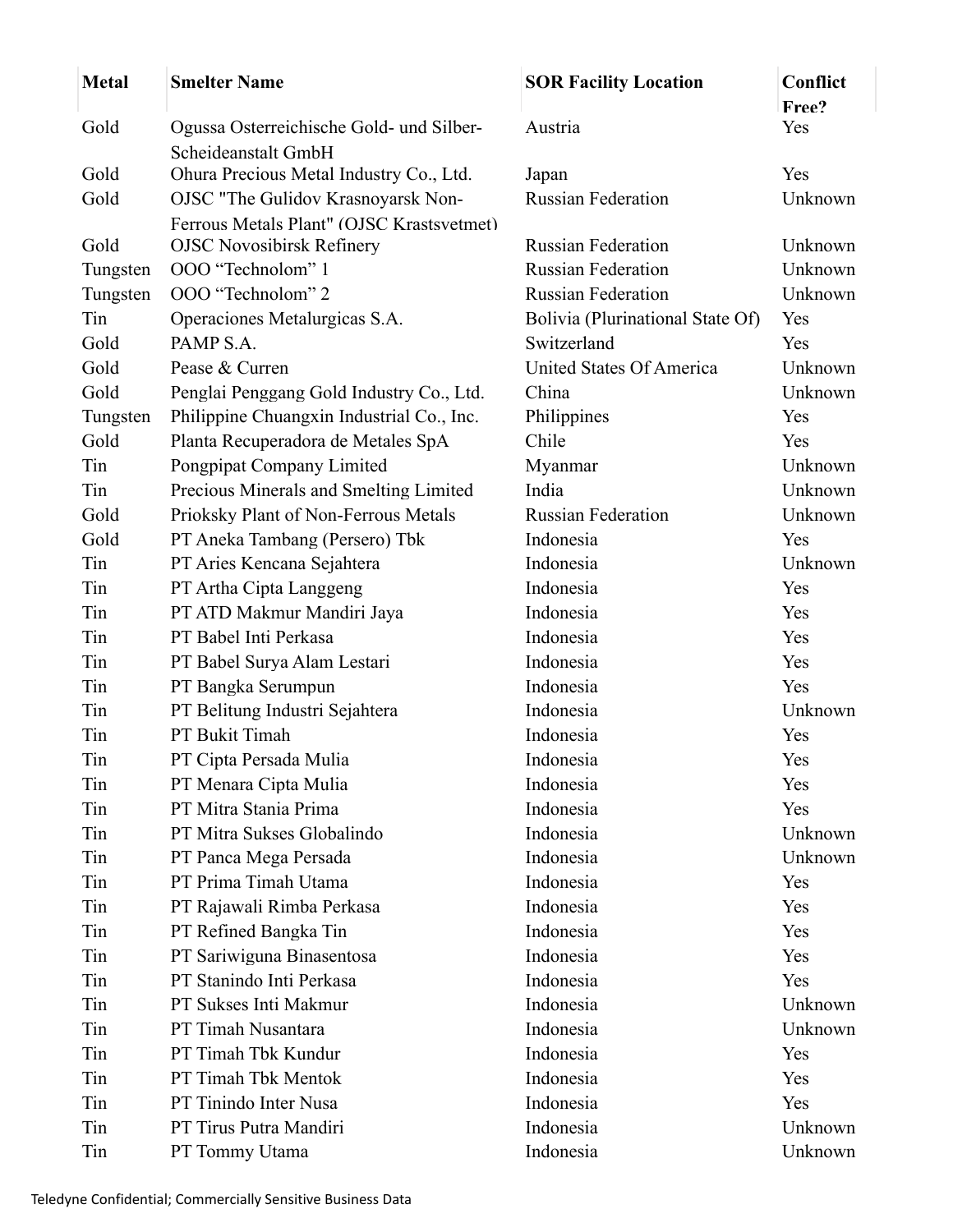| <b>Metal</b>         | <b>Smelter Name</b>                                   | <b>SOR Facility Location</b>     | Conflict |
|----------------------|-------------------------------------------------------|----------------------------------|----------|
|                      |                                                       |                                  | Free?    |
| Gold                 | Ogussa Osterreichische Gold- und Silber-              | Austria                          | Yes      |
|                      | Scheideanstalt GmbH                                   |                                  |          |
| Gold                 | Ohura Precious Metal Industry Co., Ltd.               | Japan                            | Yes      |
| Gold                 | OJSC "The Gulidov Krasnoyarsk Non-                    | <b>Russian Federation</b>        | Unknown  |
| Gold                 | Ferrous Metals Plant" (OJSC Krastsvetmet)             | <b>Russian Federation</b>        | Unknown  |
|                      | <b>OJSC Novosibirsk Refinery</b><br>OOO "Technolom" 1 | <b>Russian Federation</b>        | Unknown  |
| Tungsten<br>Tungsten | OOO "Technolom" 2                                     | <b>Russian Federation</b>        | Unknown  |
| Tin                  | Operaciones Metalurgicas S.A.                         | Bolivia (Plurinational State Of) | Yes      |
| Gold                 | PAMP S.A.                                             | Switzerland                      | Yes      |
| Gold                 | Pease & Curren                                        | United States Of America         | Unknown  |
| Gold                 | Penglai Penggang Gold Industry Co., Ltd.              | China                            | Unknown  |
| Tungsten             | Philippine Chuangxin Industrial Co., Inc.             | Philippines                      | Yes      |
| Gold                 | Planta Recuperadora de Metales SpA                    | Chile                            | Yes      |
| Tin                  | Pongpipat Company Limited                             | Myanmar                          | Unknown  |
| Tin                  | Precious Minerals and Smelting Limited                | India                            | Unknown  |
| Gold                 | Prioksky Plant of Non-Ferrous Metals                  | <b>Russian Federation</b>        | Unknown  |
| Gold                 | PT Aneka Tambang (Persero) Tbk                        | Indonesia                        | Yes      |
| Tin                  | PT Aries Kencana Sejahtera                            | Indonesia                        | Unknown  |
| Tin                  | PT Artha Cipta Langgeng                               | Indonesia                        | Yes      |
| Tin                  | PT ATD Makmur Mandiri Jaya                            | Indonesia                        | Yes      |
| Tin                  | PT Babel Inti Perkasa                                 | Indonesia                        | Yes      |
| Tin                  | PT Babel Surya Alam Lestari                           | Indonesia                        | Yes      |
| Tin                  | PT Bangka Serumpun                                    | Indonesia                        | Yes      |
| Tin                  | PT Belitung Industri Sejahtera                        | Indonesia                        | Unknown  |
| Tin                  | PT Bukit Timah                                        | Indonesia                        | Yes      |
| Tin                  | PT Cipta Persada Mulia                                | Indonesia                        | Yes      |
| Tin                  | PT Menara Cipta Mulia                                 | Indonesia                        | Yes      |
| Tin                  | PT Mitra Stania Prima                                 | Indonesia                        | Yes      |
| Tin                  | PT Mitra Sukses Globalindo                            | Indonesia                        | Unknown  |
| Tin                  | PT Panca Mega Persada                                 | Indonesia                        | Unknown  |
| Tin                  | PT Prima Timah Utama                                  | Indonesia                        | Yes      |
| Tin                  | PT Rajawali Rimba Perkasa                             | Indonesia                        | Yes      |
| Tin                  | PT Refined Bangka Tin                                 | Indonesia                        | Yes      |
| Tin                  | PT Sariwiguna Binasentosa                             | Indonesia                        | Yes      |
| Tin                  | PT Stanindo Inti Perkasa                              | Indonesia                        | Yes      |
| Tin                  | PT Sukses Inti Makmur                                 | Indonesia                        | Unknown  |
| Tin                  | PT Timah Nusantara                                    | Indonesia                        | Unknown  |
| Tin                  | PT Timah Tbk Kundur                                   | Indonesia                        | Yes      |
| Tin                  | PT Timah Tbk Mentok                                   | Indonesia                        | Yes      |
| Tin                  | PT Tinindo Inter Nusa                                 | Indonesia                        | Yes      |
| Tin                  | PT Tirus Putra Mandiri                                | Indonesia                        | Unknown  |
| Tin                  | PT Tommy Utama                                        | Indonesia                        | Unknown  |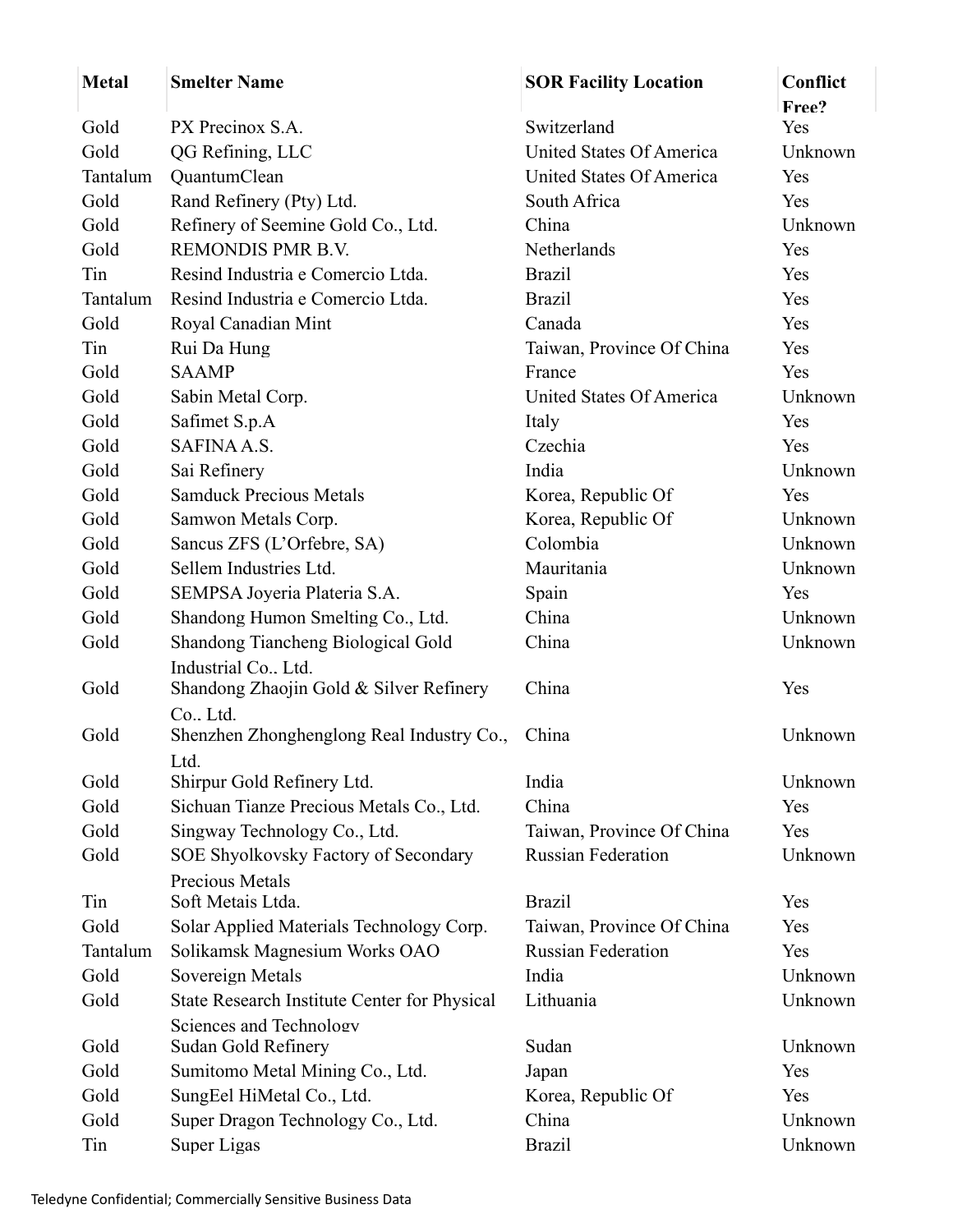| <b>Metal</b> | <b>Smelter Name</b>                                             | <b>SOR Facility Location</b> | Conflict<br>Free? |
|--------------|-----------------------------------------------------------------|------------------------------|-------------------|
| Gold         | PX Precinox S.A.                                                | Switzerland                  | Yes               |
| Gold         | QG Refining, LLC                                                | United States Of America     | Unknown           |
| Tantalum     | QuantumClean                                                    | United States Of America     | Yes               |
| Gold         | Rand Refinery (Pty) Ltd.                                        | South Africa                 | Yes               |
| Gold         | Refinery of Seemine Gold Co., Ltd.                              | China                        | Unknown           |
| Gold         | <b>REMONDIS PMR B.V.</b>                                        | <b>Netherlands</b>           | Yes               |
| Tin          | Resind Industria e Comercio Ltda.                               | <b>Brazil</b>                | Yes               |
| Tantalum     | Resind Industria e Comercio Ltda.                               | <b>Brazil</b>                | Yes               |
| Gold         | Royal Canadian Mint                                             | Canada                       | Yes               |
| Tin          | Rui Da Hung                                                     | Taiwan, Province Of China    | Yes               |
| Gold         | <b>SAAMP</b>                                                    | France                       | Yes               |
| Gold         | Sabin Metal Corp.                                               | United States Of America     | Unknown           |
| Gold         | Safimet S.p.A                                                   | Italy                        | Yes               |
| Gold         | SAFINA A.S.                                                     | Czechia                      | Yes               |
|              | Sai Refinery                                                    |                              | Unknown           |
| Gold<br>Gold | <b>Samduck Precious Metals</b>                                  | India                        | Yes               |
|              |                                                                 | Korea, Republic Of           |                   |
| Gold         | Samwon Metals Corp.                                             | Korea, Republic Of           | Unknown           |
| Gold         | Sancus ZFS (L'Orfebre, SA)                                      | Colombia                     | Unknown           |
| Gold         | Sellem Industries Ltd.                                          | Mauritania                   | Unknown           |
| Gold         | SEMPSA Joyeria Plateria S.A.                                    | Spain                        | Yes               |
| Gold         | Shandong Humon Smelting Co., Ltd.                               | China                        | Unknown           |
| Gold         | Shandong Tiancheng Biological Gold                              | China                        | Unknown           |
| Gold         | Industrial Co., Ltd.<br>Shandong Zhaojin Gold & Silver Refinery | China                        | Yes               |
|              | Co., Ltd.                                                       |                              |                   |
| Gold         | Shenzhen Zhonghenglong Real Industry Co.,                       | China                        | Unknown           |
|              | Ltd.                                                            |                              |                   |
| Gold         | Shirpur Gold Refinery Ltd.                                      | India                        | Unknown           |
| Gold         | Sichuan Tianze Precious Metals Co., Ltd.                        | China                        | Yes               |
| Gold         | Singway Technology Co., Ltd.                                    | Taiwan, Province Of China    | Yes               |
| Gold         | SOE Shyolkovsky Factory of Secondary                            | <b>Russian Federation</b>    | Unknown           |
|              | <b>Precious Metals</b>                                          |                              |                   |
| Tin          | Soft Metais Ltda.                                               | <b>Brazil</b>                | Yes               |
| Gold         | Solar Applied Materials Technology Corp.                        | Taiwan, Province Of China    | Yes               |
| Tantalum     | Solikamsk Magnesium Works OAO                                   | <b>Russian Federation</b>    | Yes               |
| Gold         | Sovereign Metals                                                | India                        | Unknown           |
| Gold         | State Research Institute Center for Physical                    | Lithuania                    | Unknown           |
|              | Sciences and Technology                                         |                              |                   |
| Gold         | Sudan Gold Refinery                                             | Sudan                        | Unknown           |
| Gold         | Sumitomo Metal Mining Co., Ltd.                                 | Japan                        | Yes               |
| Gold         | SungEel HiMetal Co., Ltd.                                       | Korea, Republic Of           | Yes               |
| Gold         | Super Dragon Technology Co., Ltd.                               | China                        | Unknown           |
| Tin          | Super Ligas                                                     | <b>Brazil</b>                | Unknown           |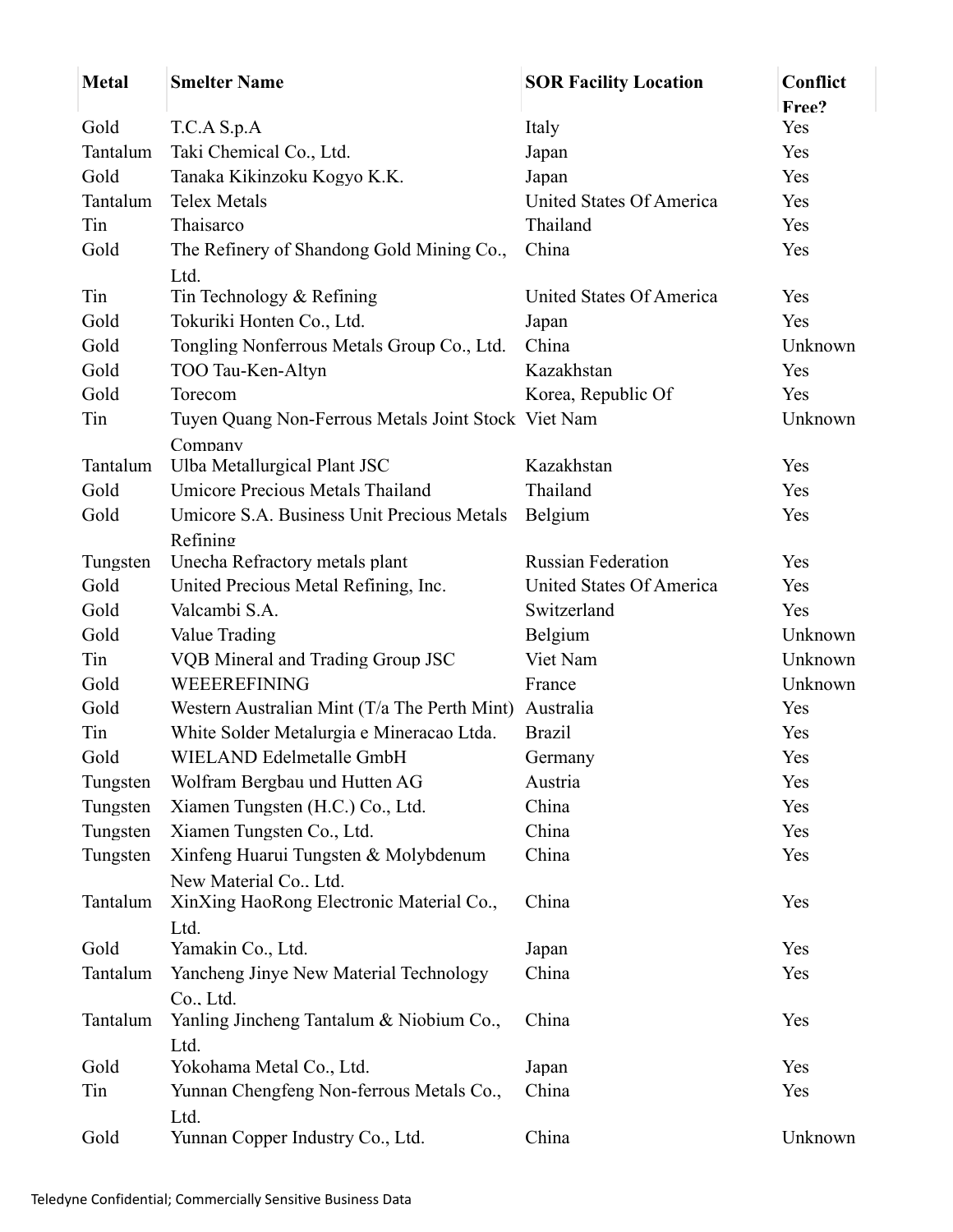| <b>Metal</b> | <b>Smelter Name</b>                                            | <b>SOR Facility Location</b> | Conflict |
|--------------|----------------------------------------------------------------|------------------------------|----------|
|              |                                                                |                              | Free?    |
| Gold         | T.C.A S.p.A                                                    | Italy                        | Yes      |
| Tantalum     | Taki Chemical Co., Ltd.                                        | Japan                        | Yes      |
| Gold         | Tanaka Kikinzoku Kogyo K.K.                                    | Japan                        | Yes      |
| Tantalum     | <b>Telex Metals</b>                                            | United States Of America     | Yes      |
| Tin          | Thaisarco                                                      | Thailand                     | Yes      |
| Gold         | The Refinery of Shandong Gold Mining Co.,                      | China                        | Yes      |
|              | Ltd.                                                           |                              |          |
| Tin          | Tin Technology & Refining                                      | United States Of America     | Yes      |
| Gold         | Tokuriki Honten Co., Ltd.                                      | Japan                        | Yes      |
| Gold         | Tongling Nonferrous Metals Group Co., Ltd.                     | China                        | Unknown  |
| Gold         | TOO Tau-Ken-Altyn                                              | Kazakhstan                   | Yes      |
| Gold         | Torecom                                                        | Korea, Republic Of           | Yes      |
| Tin          | Tuyen Quang Non-Ferrous Metals Joint Stock Viet Nam<br>Company |                              | Unknown  |
| Tantalum     | Ulba Metallurgical Plant JSC                                   | Kazakhstan                   | Yes      |
| Gold         | Umicore Precious Metals Thailand                               | Thailand                     | Yes      |
| Gold         | Umicore S.A. Business Unit Precious Metals                     | Belgium                      | Yes      |
|              | Refining                                                       |                              |          |
| Tungsten     | Unecha Refractory metals plant                                 | <b>Russian Federation</b>    | Yes      |
| Gold         | United Precious Metal Refining, Inc.                           | United States Of America     | Yes      |
| Gold         | Valcambi S.A.                                                  | Switzerland                  | Yes      |
| Gold         | Value Trading                                                  | Belgium                      | Unknown  |
| Tin          | VQB Mineral and Trading Group JSC                              | Viet Nam                     | Unknown  |
| Gold         | WEEEREFINING                                                   | France                       | Unknown  |
| Gold         | Western Australian Mint (T/a The Perth Mint) Australia         |                              | Yes      |
| Tin          | White Solder Metalurgia e Mineracao Ltda.                      | <b>Brazil</b>                | Yes      |
| Gold         | WIELAND Edelmetalle GmbH                                       | Germany                      | Yes      |
| Tungsten     | Wolfram Bergbau und Hutten AG                                  | Austria                      | Yes      |
| Tungsten     | Xiamen Tungsten (H.C.) Co., Ltd.                               | China                        | Yes      |
| Tungsten     | Xiamen Tungsten Co., Ltd.                                      | China                        | Yes      |
| Tungsten     | Xinfeng Huarui Tungsten & Molybdenum                           | China                        | Yes      |
|              | New Material Co., Ltd.                                         |                              |          |
| Tantalum     | XinXing HaoRong Electronic Material Co.,                       | China                        | Yes      |
|              | Ltd.                                                           |                              |          |
| Gold         | Yamakin Co., Ltd.                                              | Japan                        | Yes      |
| Tantalum     | Yancheng Jinye New Material Technology                         | China                        | Yes      |
|              | Co., Ltd.                                                      |                              |          |
| Tantalum     | Yanling Jincheng Tantalum & Niobium Co.,                       | China                        | Yes      |
| Gold         | Ltd.<br>Yokohama Metal Co., Ltd.                               | Japan                        | Yes      |
| Tin          |                                                                | China                        | Yes      |
|              | Yunnan Chengfeng Non-ferrous Metals Co.,                       |                              |          |
| Gold         | Ltd.<br>Yunnan Copper Industry Co., Ltd.                       | China                        | Unknown  |
|              |                                                                |                              |          |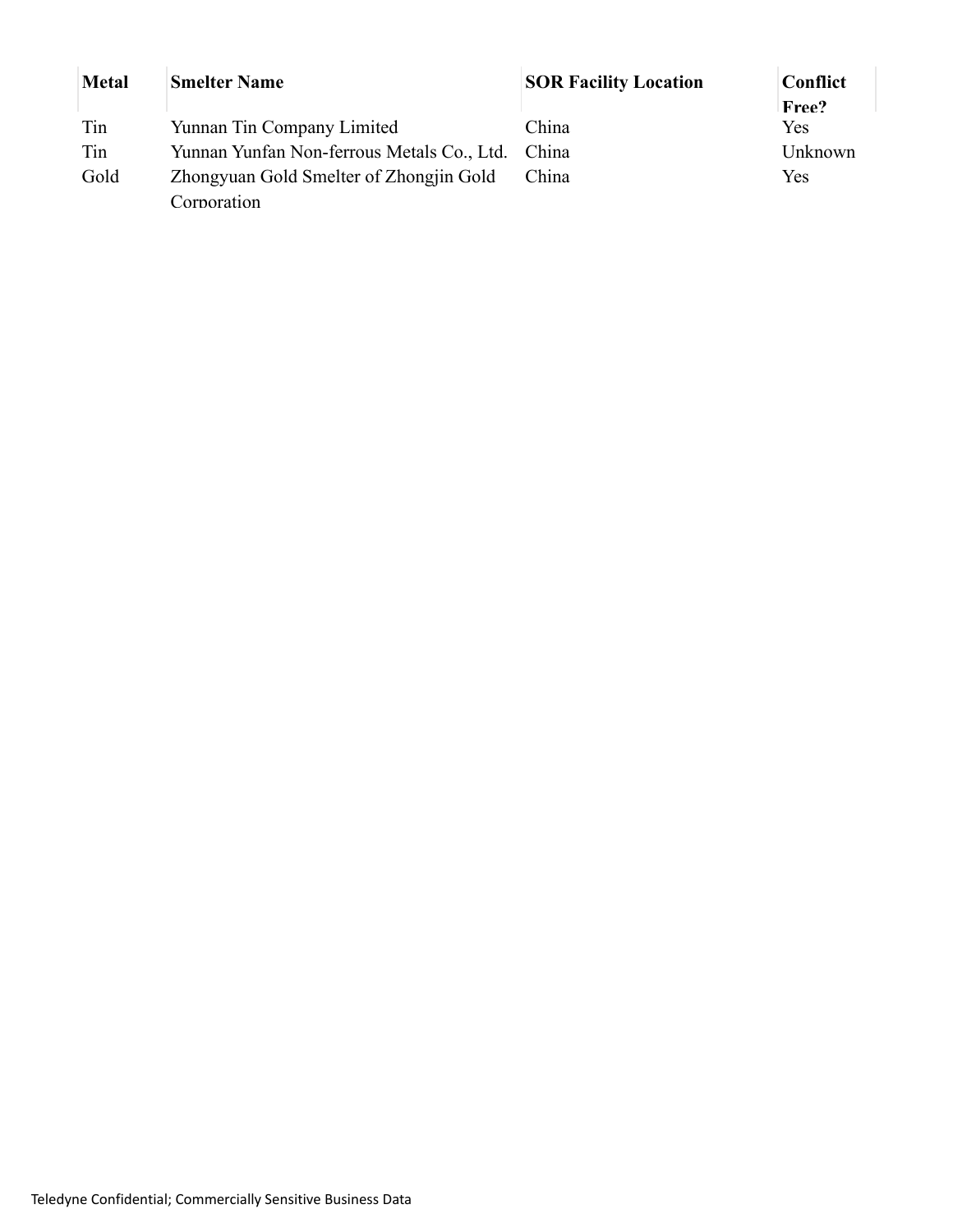| <b>Metal</b> | <b>Smelter Name</b>                        | <b>SOR Facility Location</b> | <b>Conflict</b> |
|--------------|--------------------------------------------|------------------------------|-----------------|
|              |                                            |                              | Free?           |
| Tin          | Yunnan Tin Company Limited                 | China                        | Yes             |
| Tin          | Yunnan Yunfan Non-ferrous Metals Co., Ltd. | China                        | Unknown         |
| Gold         | Zhongyuan Gold Smelter of Zhongjin Gold    | China                        | Yes             |
|              | Corporation                                |                              |                 |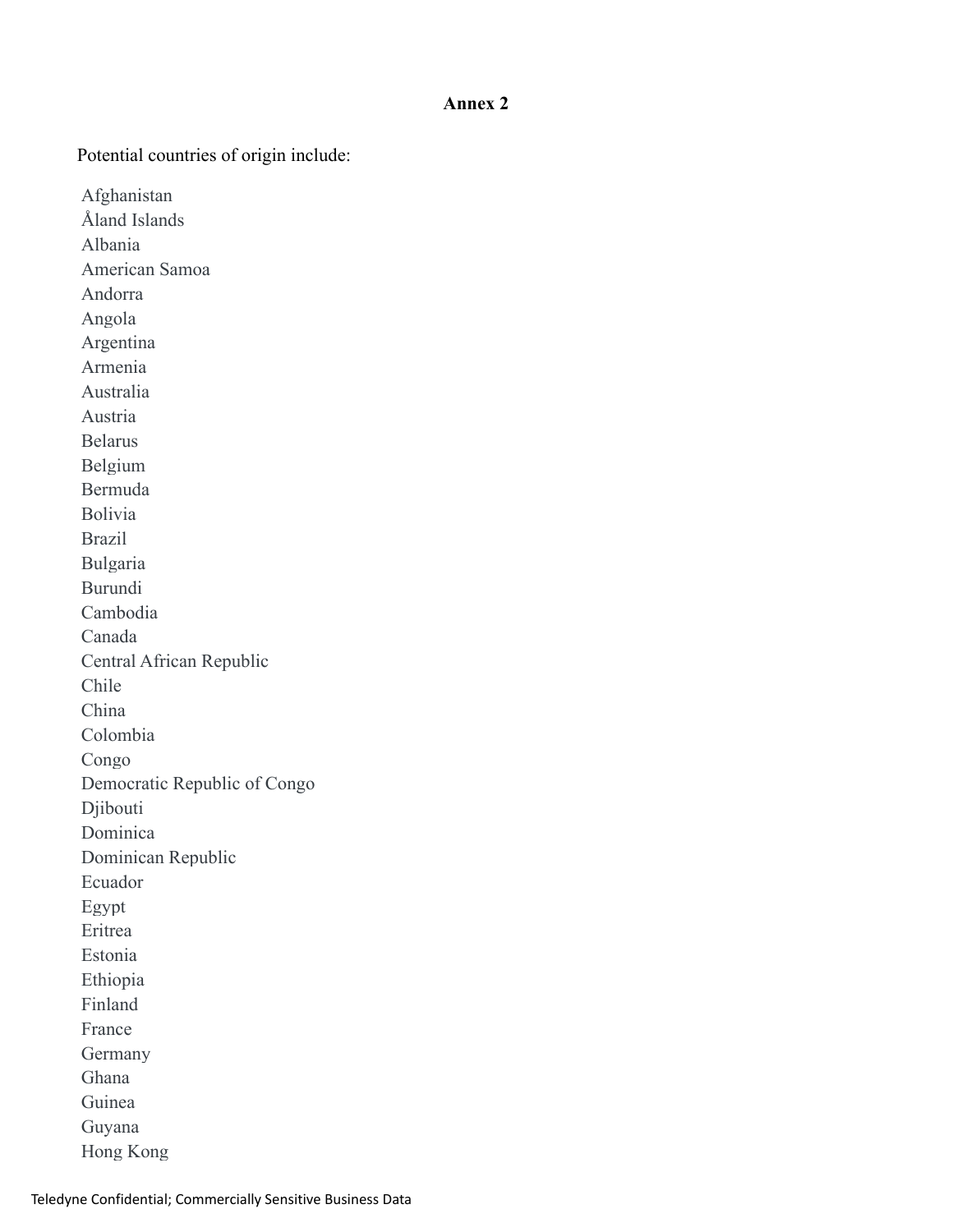#### **Annex 2**

Potential countries of origin include:

Afghanistan Åland Islands Albania American Samoa Andorra Angola Argentina Armenia Australia Austria Belarus Belgium Bermuda Bolivia Brazil Bulgaria Burundi Cambodia Canada Central African Republic Chile China Colombia Congo Democratic Republic of Congo Djibouti Dominica Dominican Republic Ecuador Egypt Eritrea Estonia Ethiopia Finland France Germany Ghana Guinea Guyana

Hong Kong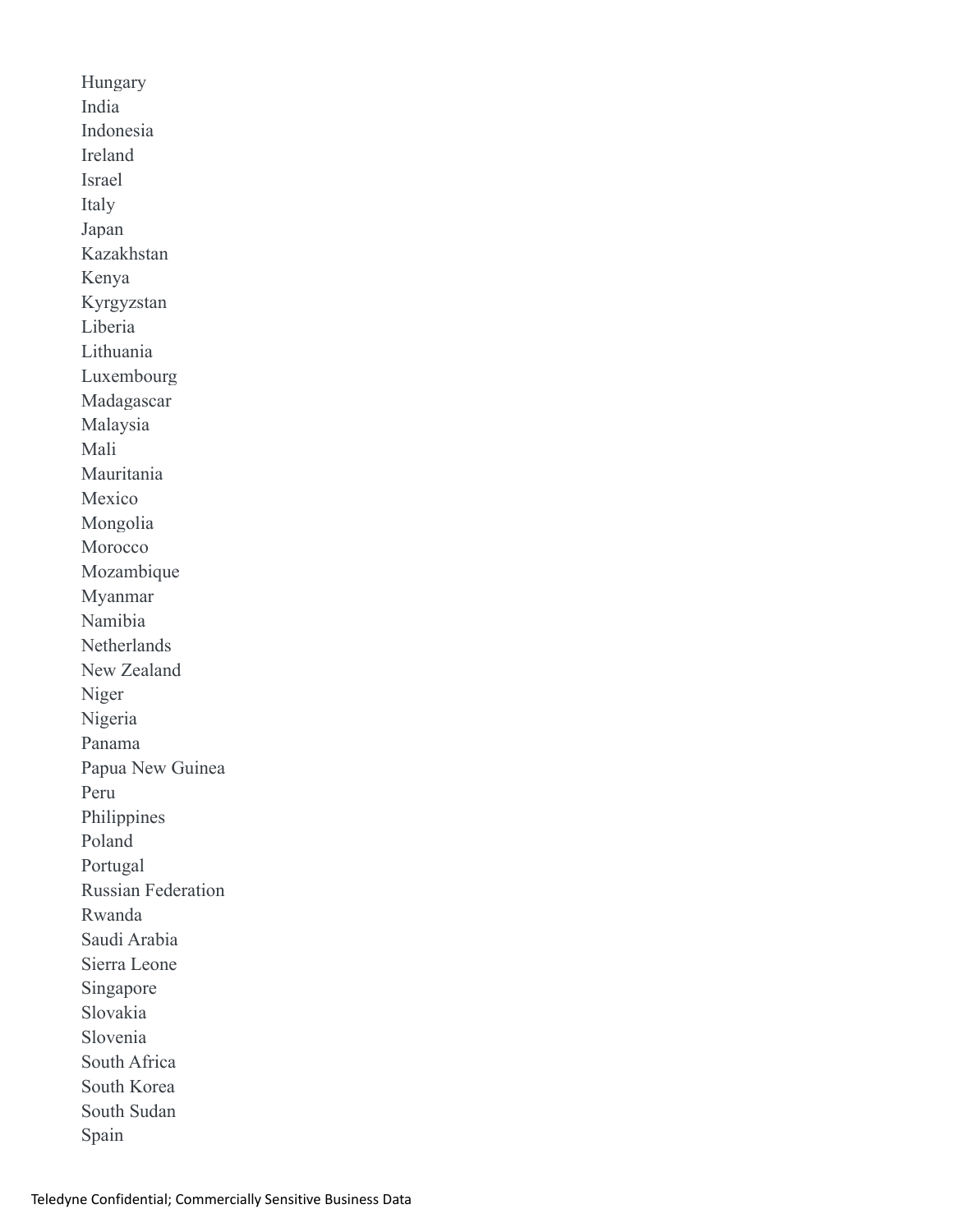Hungary India Indonesia Ireland Israel Italy Japan Kazakhstan Kenya Kyrgyzstan Liberia Lithuania Luxembourg Madagascar Malaysia Mali Mauritania Mexico Mongolia Morocco Mozambique Myanmar Namibia Netherlands New Zealand Niger Nigeria Panama Papua New Guinea Peru Philippines Poland Portugal Russian Federation Rwanda Saudi Arabia Sierra Leone Singapore Slovakia Slovenia South Africa South Korea South Sudan Spain